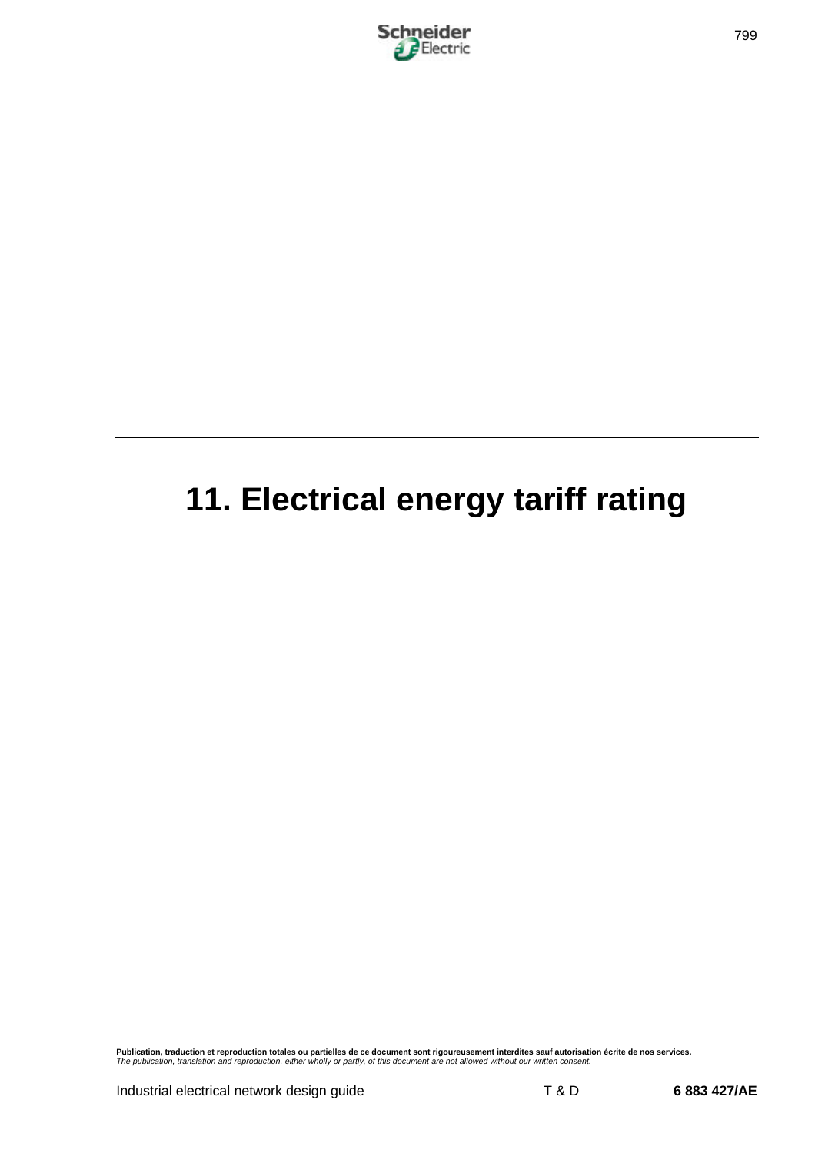

# **11. Electrical energy tariff rating**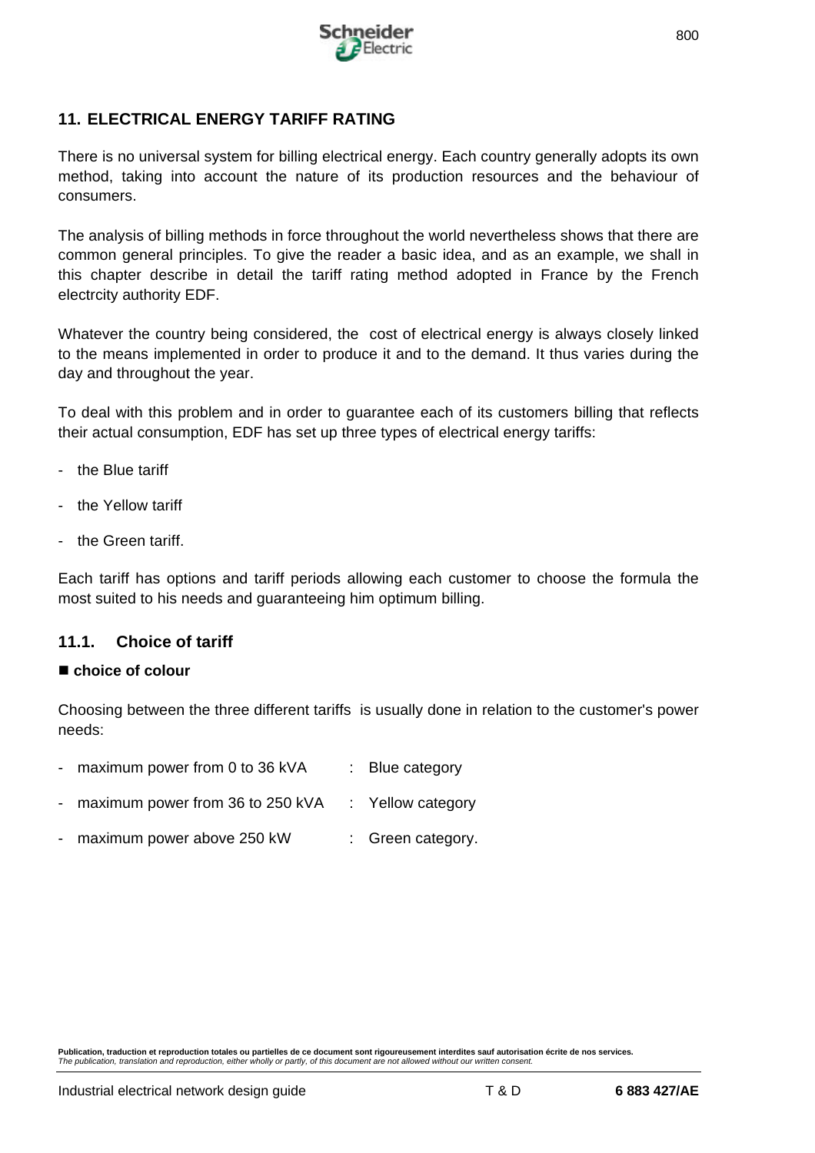

# **11. ELECTRICAL ENERGY TARIFF RATING**

There is no universal system for billing electrical energy. Each country generally adopts its own method, taking into account the nature of its production resources and the behaviour of consumers.

The analysis of billing methods in force throughout the world nevertheless shows that there are common general principles. To give the reader a basic idea, and as an example, we shall in this chapter describe in detail the tariff rating method adopted in France by the French electrcity authority EDF.

Whatever the country being considered, the cost of electrical energy is always closely linked to the means implemented in order to produce it and to the demand. It thus varies during the day and throughout the year.

To deal with this problem and in order to guarantee each of its customers billing that reflects their actual consumption, EDF has set up three types of electrical energy tariffs:

- the Blue tariff
- the Yellow tariff
- the Green tariff.

Each tariff has options and tariff periods allowing each customer to choose the formula the most suited to his needs and guaranteeing him optimum billing.

## **11.1. Choice of tariff**

#### n **choice of colour**

Choosing between the three different tariffs is usually done in relation to the customer's power needs:

- maximum power from 0 to 36 kVA : Blue category
- maximum power from 36 to 250 kVA : Yellow category
- maximum power above 250 kW : Green category.

**Publication, traduction et reproduction totales ou partielles de ce document sont rigoureusement interdites sauf autorisation écrite de nos services.** *The publication, translation and reproduction, either wholly or partly, of this document are not allowed without our written consent.*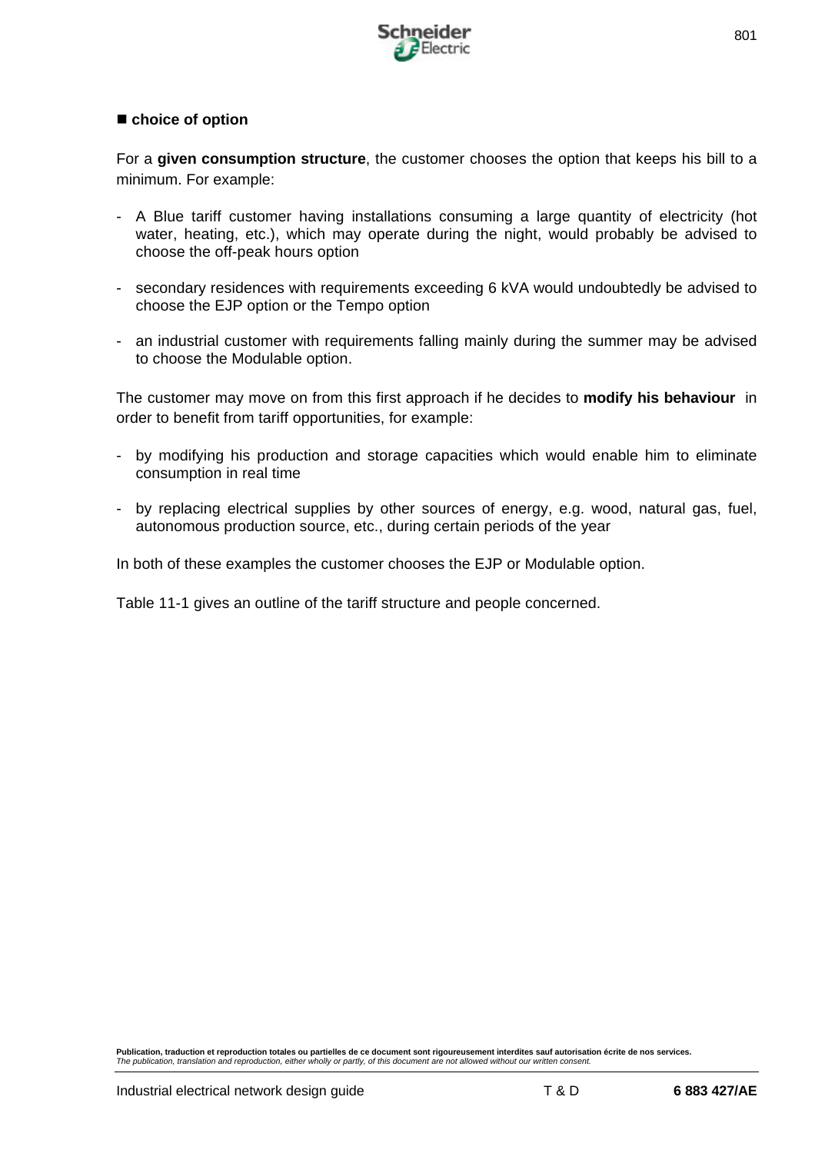

## ■ choice of option

For a **given consumption structure**, the customer chooses the option that keeps his bill to a minimum. For example:

- A Blue tariff customer having installations consuming a large quantity of electricity (hot water, heating, etc.), which may operate during the night, would probably be advised to choose the off-peak hours option
- secondary residences with requirements exceeding 6 kVA would undoubtedly be advised to choose the EJP option or the Tempo option
- an industrial customer with requirements falling mainly during the summer may be advised to choose the Modulable option.

The customer may move on from this first approach if he decides to **modify his behaviour** in order to benefit from tariff opportunities, for example:

- by modifying his production and storage capacities which would enable him to eliminate consumption in real time
- by replacing electrical supplies by other sources of energy, e.g. wood, natural gas, fuel, autonomous production source, etc., during certain periods of the year

In both of these examples the customer chooses the EJP or Modulable option.

Table 11-1 gives an outline of the tariff structure and people concerned.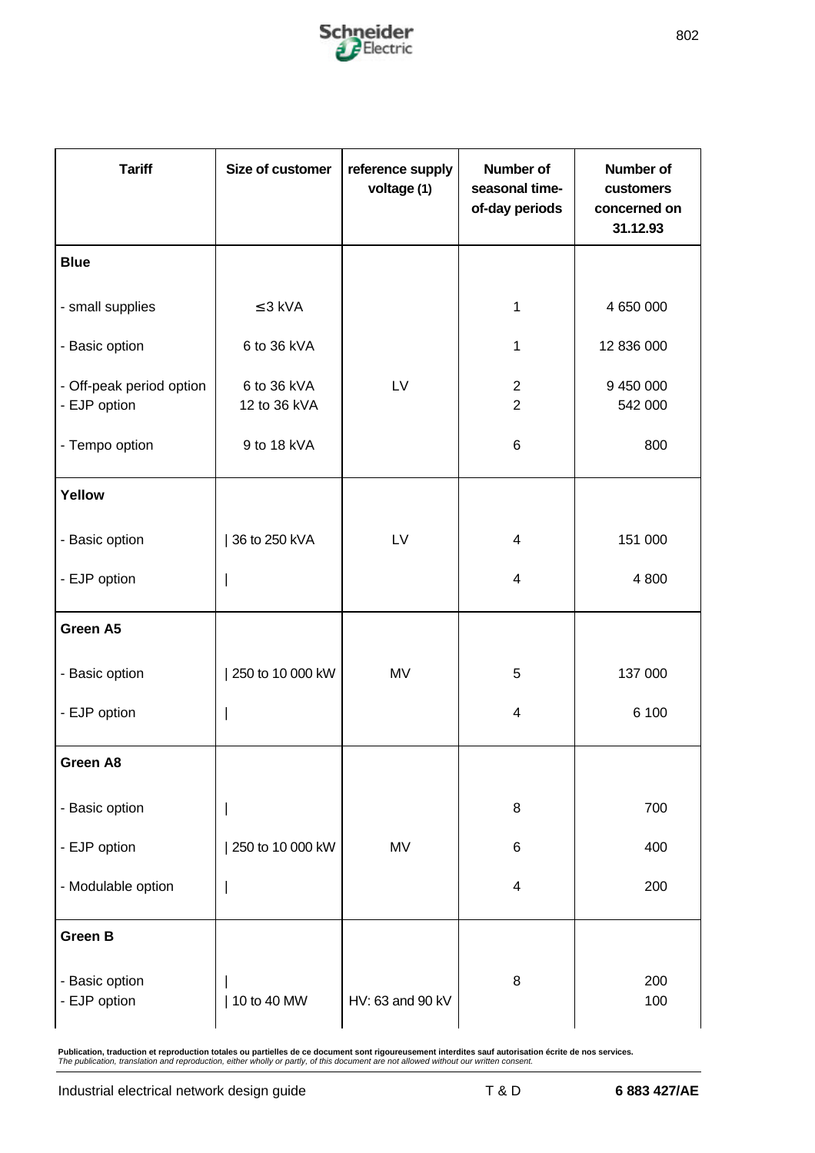

| <b>Tariff</b>                            | Size of customer            | reference supply<br>voltage (1) | Number of<br>seasonal time-<br>of-day periods | <b>Number of</b><br>customers<br>concerned on<br>31.12.93 |
|------------------------------------------|-----------------------------|---------------------------------|-----------------------------------------------|-----------------------------------------------------------|
| <b>Blue</b>                              |                             |                                 |                                               |                                                           |
| - small supplies                         | $\leq$ 3 kVA                |                                 | 1                                             | 4 650 000                                                 |
| - Basic option                           | 6 to 36 kVA                 |                                 | 1                                             | 12 836 000                                                |
| - Off-peak period option<br>- EJP option | 6 to 36 kVA<br>12 to 36 kVA | LV                              | $\overline{2}$<br>$\overline{2}$              | 9 450 000<br>542 000                                      |
| - Tempo option                           | 9 to 18 kVA                 |                                 | 6                                             | 800                                                       |
| Yellow                                   |                             |                                 |                                               |                                                           |
| - Basic option                           | 36 to 250 kVA               | LV                              | 4                                             | 151 000                                                   |
| - EJP option                             |                             |                                 | 4                                             | 4 800                                                     |
| Green A5                                 |                             |                                 |                                               |                                                           |
| - Basic option                           | 250 to 10 000 kW            | MV                              | 5                                             | 137 000                                                   |
| - EJP option                             |                             |                                 | $\overline{\mathcal{A}}$                      | 6 100                                                     |
| Green A8                                 |                             |                                 |                                               |                                                           |
| - Basic option                           |                             |                                 | 8                                             | 700                                                       |
| - EJP option                             | 250 to 10 000 kW            | MV                              | 6                                             | 400                                                       |
| - Modulable option                       |                             |                                 | $\overline{\mathbf{4}}$                       | 200                                                       |
| <b>Green B</b>                           |                             |                                 |                                               |                                                           |
| - Basic option<br>- EJP option           | 10 to 40 MW                 | HV: 63 and 90 kV                | $\bf 8$                                       | 200<br>100                                                |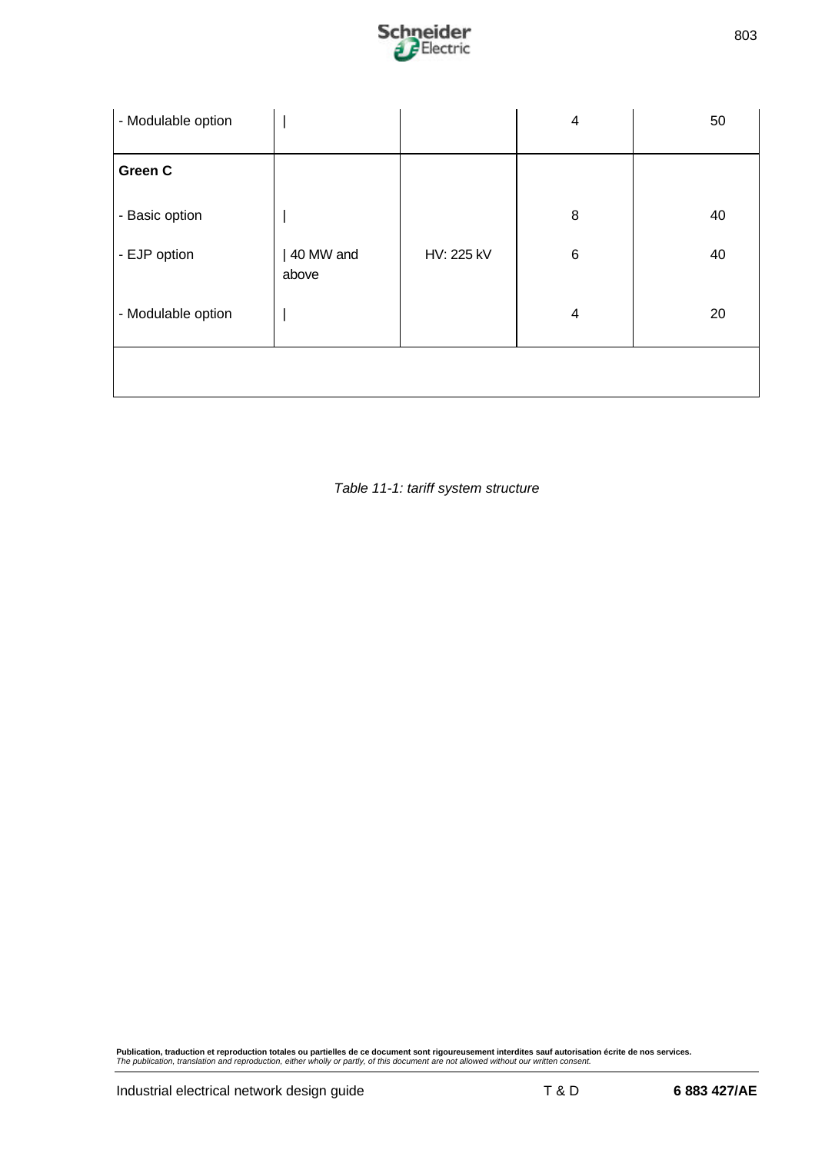

| - Modulable option |                    |            | $\overline{\mathbf{4}}$ | 50 |
|--------------------|--------------------|------------|-------------------------|----|
| Green C            |                    |            |                         |    |
| - Basic option     |                    |            | 8                       | 40 |
| - EJP option       | 40 MW and<br>above | HV: 225 kV | $\,6$                   | 40 |
| - Modulable option |                    |            | $\overline{\mathbf{4}}$ | 20 |
|                    |                    |            |                         |    |

*Table 11-1: tariff system structure*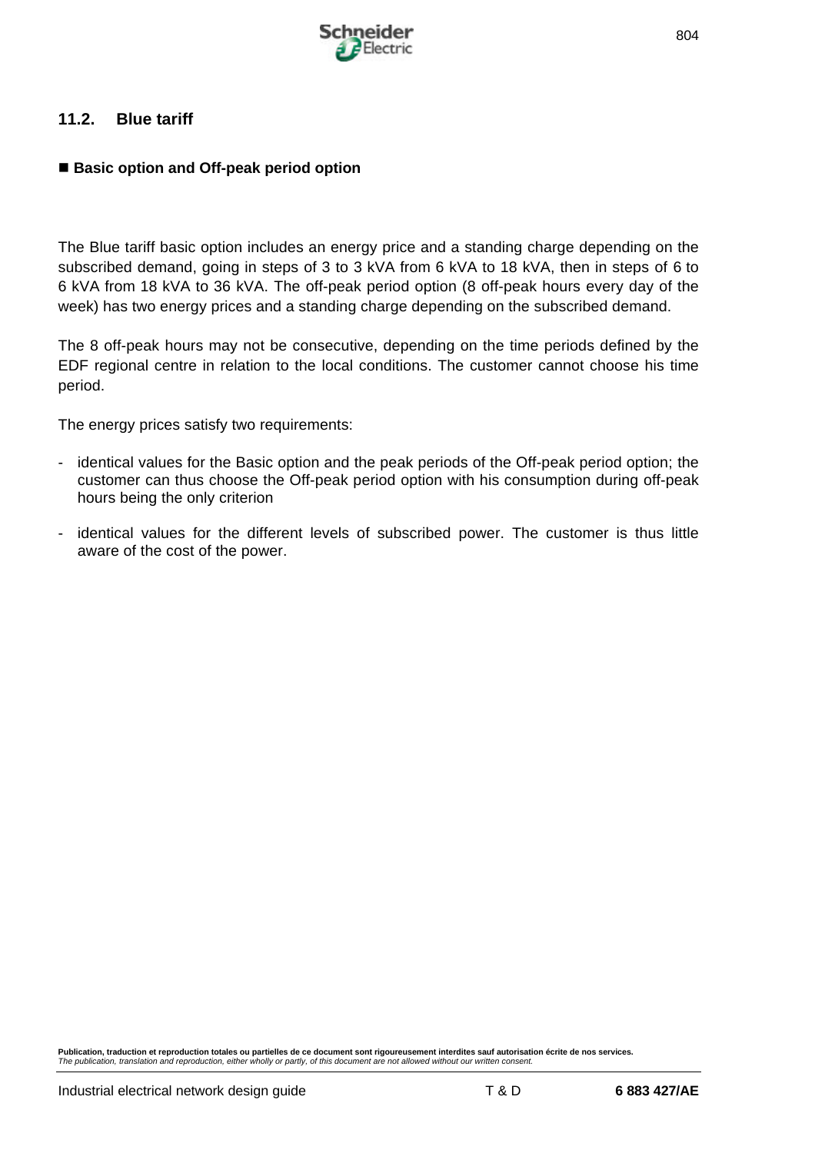

## **11.2. Blue tariff**

## ■ Basic option and Off-peak period option

The Blue tariff basic option includes an energy price and a standing charge depending on the subscribed demand, going in steps of 3 to 3 kVA from 6 kVA to 18 kVA, then in steps of 6 to 6 kVA from 18 kVA to 36 kVA. The off-peak period option (8 off-peak hours every day of the week) has two energy prices and a standing charge depending on the subscribed demand.

The 8 off-peak hours may not be consecutive, depending on the time periods defined by the EDF regional centre in relation to the local conditions. The customer cannot choose his time period.

The energy prices satisfy two requirements:

- identical values for the Basic option and the peak periods of the Off-peak period option; the customer can thus choose the Off-peak period option with his consumption during off-peak hours being the only criterion
- identical values for the different levels of subscribed power. The customer is thus little aware of the cost of the power.

**Publication, traduction et reproduction totales ou partielles de ce document sont rigoureusement interdites sauf autorisation écrite de nos services.** *The publication, translation and reproduction, either wholly or partly, of this document are not allowed without our written consent.*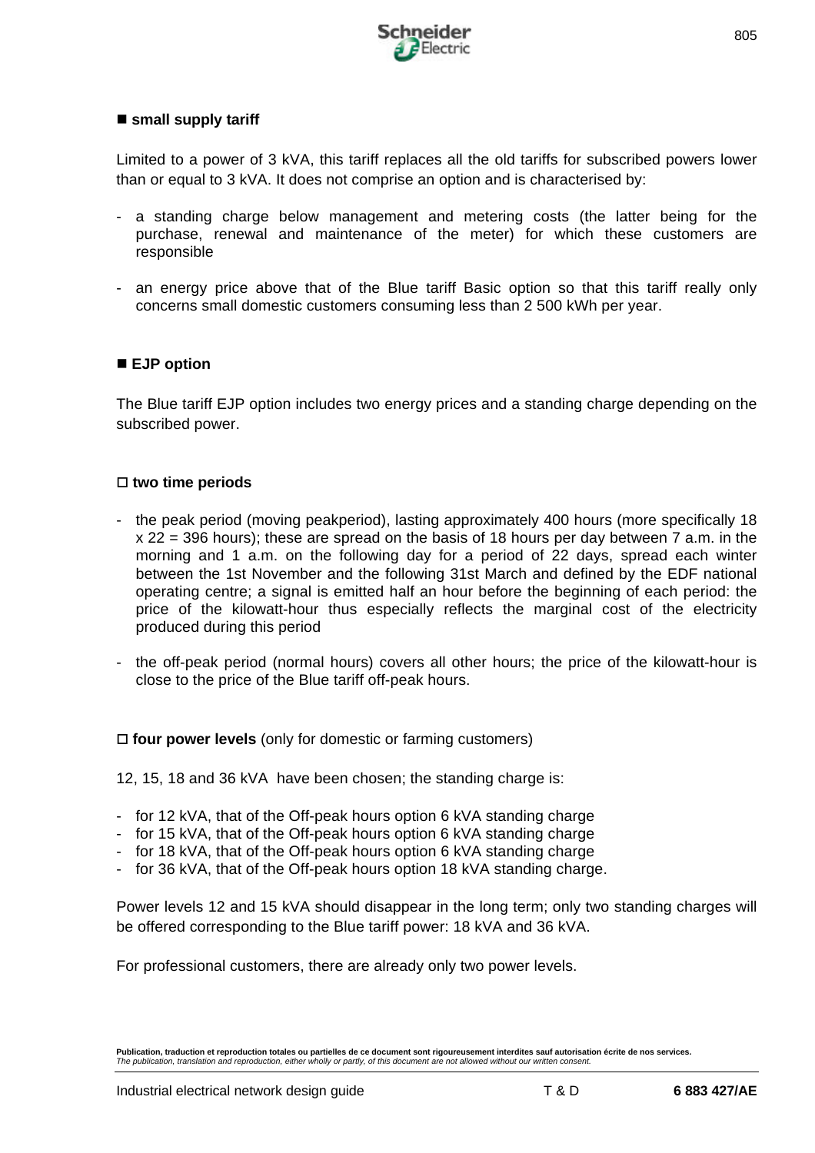

#### ■ small supply tariff

Limited to a power of 3 kVA, this tariff replaces all the old tariffs for subscribed powers lower than or equal to 3 kVA. It does not comprise an option and is characterised by:

- a standing charge below management and metering costs (the latter being for the purchase, renewal and maintenance of the meter) for which these customers are responsible
- an energy price above that of the Blue tariff Basic option so that this tariff really only concerns small domestic customers consuming less than 2 500 kWh per year.

#### ■ **EJP** option

The Blue tariff EJP option includes two energy prices and a standing charge depending on the subscribed power.

#### □ two time periods

- the peak period (moving peakperiod), lasting approximately 400 hours (more specifically 18 x 22 = 396 hours); these are spread on the basis of 18 hours per day between 7 a.m. in the morning and 1 a.m. on the following day for a period of 22 days, spread each winter between the 1st November and the following 31st March and defined by the EDF national operating centre; a signal is emitted half an hour before the beginning of each period: the price of the kilowatt-hour thus especially reflects the marginal cost of the electricity produced during this period
- the off-peak period (normal hours) covers all other hours; the price of the kilowatt-hour is close to the price of the Blue tariff off-peak hours.

 $\Box$  **four power levels** (only for domestic or farming customers)

12, 15, 18 and 36 kVA have been chosen; the standing charge is:

- for 12 kVA, that of the Off-peak hours option 6 kVA standing charge
- for 15 kVA, that of the Off-peak hours option 6 kVA standing charge
- for 18 kVA, that of the Off-peak hours option 6 kVA standing charge
- for 36 kVA, that of the Off-peak hours option 18 kVA standing charge.

Power levels 12 and 15 kVA should disappear in the long term; only two standing charges will be offered corresponding to the Blue tariff power: 18 kVA and 36 kVA.

For professional customers, there are already only two power levels.

**Publication, traduction et reproduction totales ou partielles de ce document sont rigoureusement interdites sauf autorisation écrite de nos services.** *The publication, translation and reproduction, either wholly or partly, of this document are not allowed without our written consent.*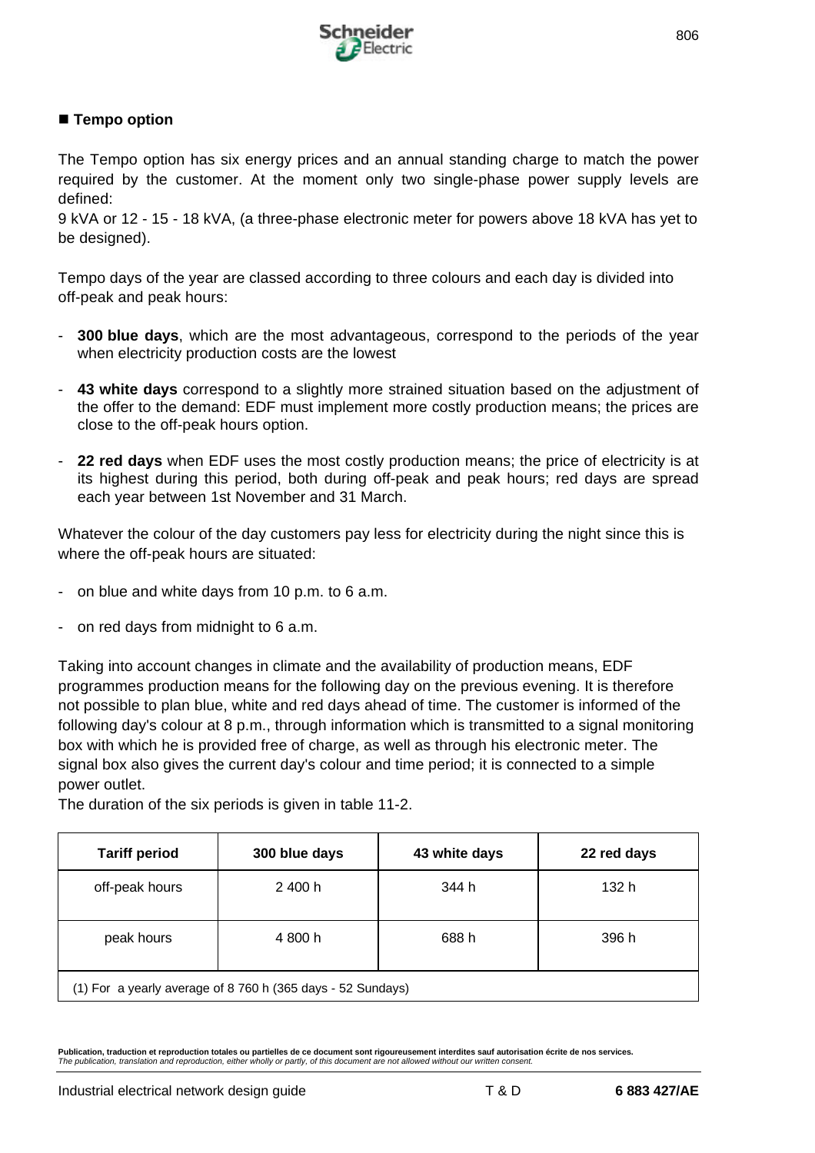

## ■ Tempo option

The Tempo option has six energy prices and an annual standing charge to match the power required by the customer. At the moment only two single-phase power supply levels are defined:

9 kVA or 12 - 15 - 18 kVA, (a three-phase electronic meter for powers above 18 kVA has yet to be designed).

Tempo days of the year are classed according to three colours and each day is divided into off-peak and peak hours:

- **300 blue days**, which are the most advantageous, correspond to the periods of the year when electricity production costs are the lowest
- **43 white days** correspond to a slightly more strained situation based on the adjustment of the offer to the demand: EDF must implement more costly production means; the prices are close to the off-peak hours option.
- 22 red days when EDF uses the most costly production means; the price of electricity is at its highest during this period, both during off-peak and peak hours; red days are spread each year between 1st November and 31 March.

Whatever the colour of the day customers pay less for electricity during the night since this is where the off-peak hours are situated:

- on blue and white days from 10 p.m. to 6 a.m.
- on red days from midnight to 6 a.m.

Taking into account changes in climate and the availability of production means, EDF programmes production means for the following day on the previous evening. It is therefore not possible to plan blue, white and red days ahead of time. The customer is informed of the following day's colour at 8 p.m., through information which is transmitted to a signal monitoring box with which he is provided free of charge, as well as through his electronic meter. The signal box also gives the current day's colour and time period; it is connected to a simple power outlet.

| <b>Tariff period</b>                                        | 300 blue days | 43 white days | 22 red days |
|-------------------------------------------------------------|---------------|---------------|-------------|
| off-peak hours                                              | 2 400 h       | 344 h         | 132 h       |
| peak hours                                                  | 4 800 h       | 688 h         | 396 h       |
| (1) For a yearly average of 8 760 h (365 days - 52 Sundays) |               |               |             |

The duration of the six periods is given in table 11-2.

**Publication, traduction et reproduction totales ou partielles de ce document sont rigoureusement interdites sauf autorisation écrite de nos services.** *The publication, translation and reproduction, either wholly or partly, of this document are not allowed without our written consent.*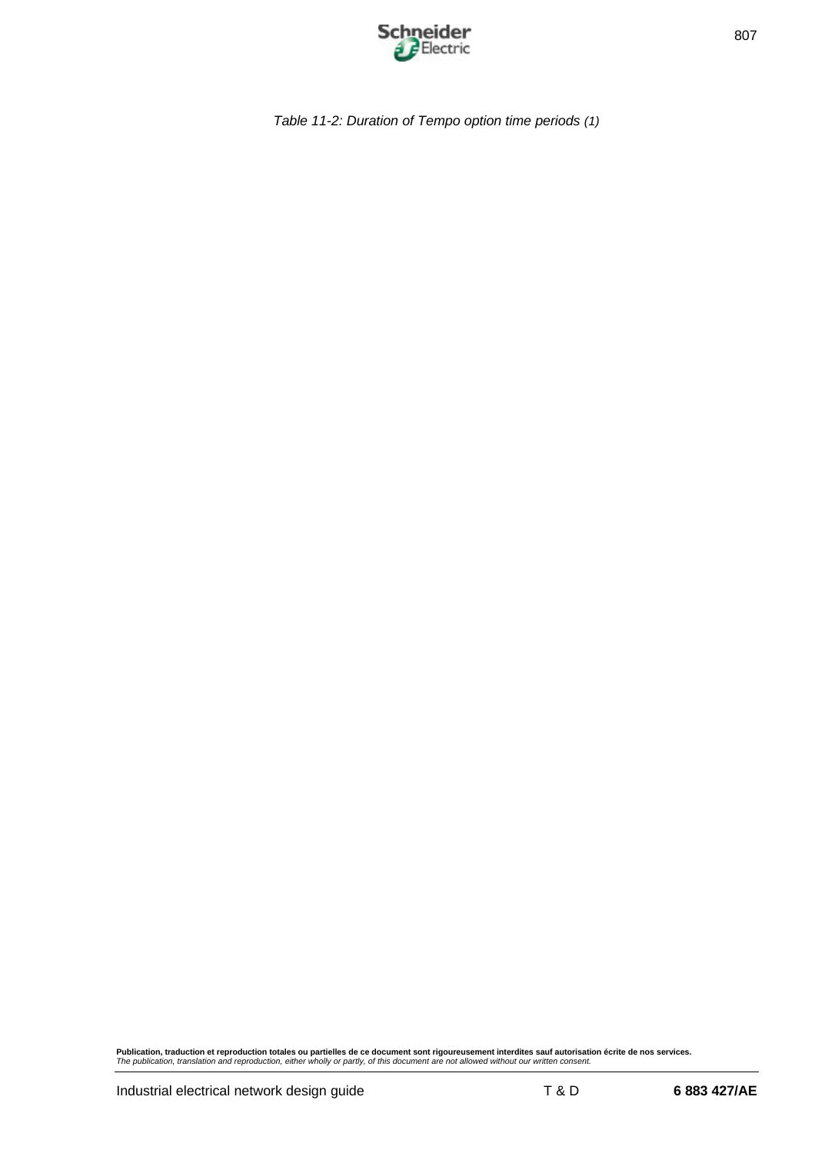

*Table 11-2: Duration of Tempo option time periods (1)*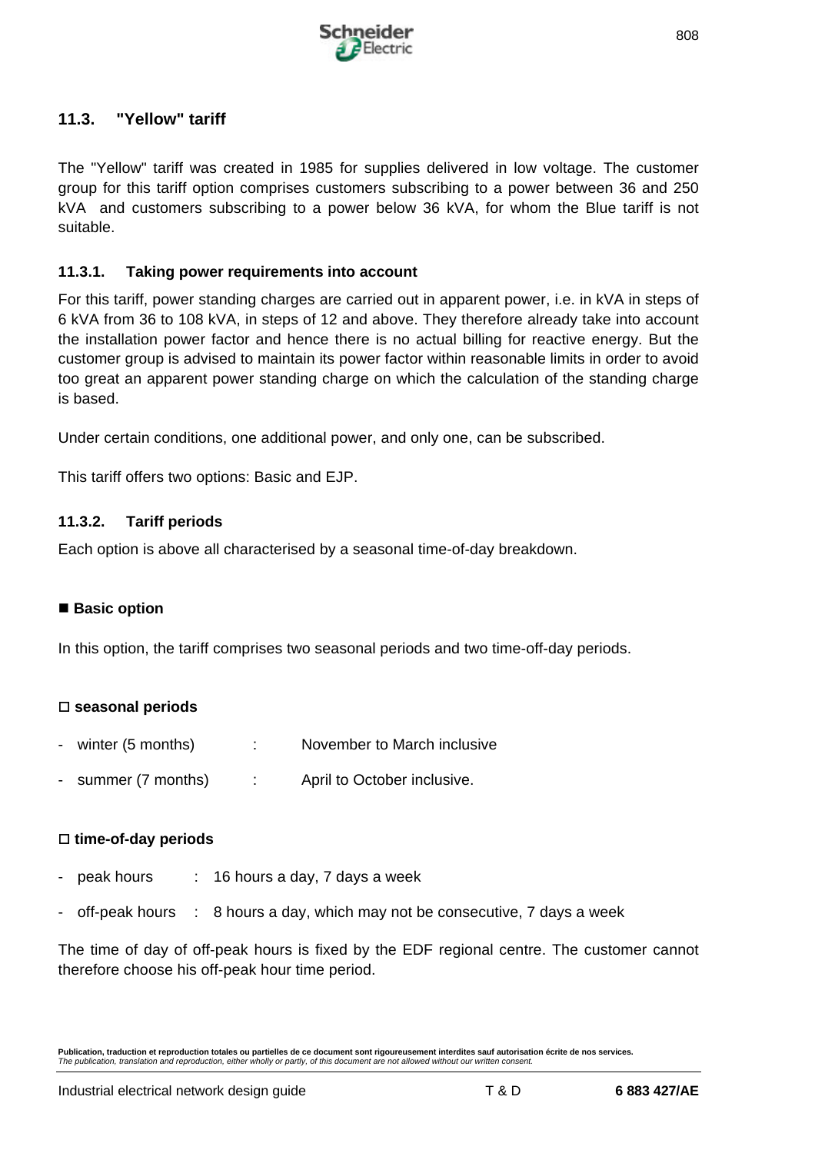

# **11.3. "Yellow" tariff**

The "Yellow" tariff was created in 1985 for supplies delivered in low voltage. The customer group for this tariff option comprises customers subscribing to a power between 36 and 250 kVA and customers subscribing to a power below 36 kVA, for whom the Blue tariff is not suitable.

## **11.3.1. Taking power requirements into account**

For this tariff, power standing charges are carried out in apparent power, i.e. in kVA in steps of 6 kVA from 36 to 108 kVA, in steps of 12 and above. They therefore already take into account the installation power factor and hence there is no actual billing for reactive energy. But the customer group is advised to maintain its power factor within reasonable limits in order to avoid too great an apparent power standing charge on which the calculation of the standing charge is based.

Under certain conditions, one additional power, and only one, can be subscribed.

This tariff offers two options: Basic and EJP.

## **11.3.2. Tariff periods**

Each option is above all characterised by a seasonal time-of-day breakdown.

## ■ Basic option

In this option, the tariff comprises two seasonal periods and two time-off-day periods.

## □ seasonal periods

- winter (5 months) : November to March inclusive
- summer (7 months) : April to October inclusive.

#### □ time-of-day periods

- peak hours : 16 hours a day, 7 days a week
- off-peak hours : 8 hours a day, which may not be consecutive, 7 days a week

The time of day of off-peak hours is fixed by the EDF regional centre. The customer cannot therefore choose his off-peak hour time period.

**Publication, traduction et reproduction totales ou partielles de ce document sont rigoureusement interdites sauf autorisation écrite de nos services.** *The publication, translation and reproduction, either wholly or partly, of this document are not allowed without our written consent.*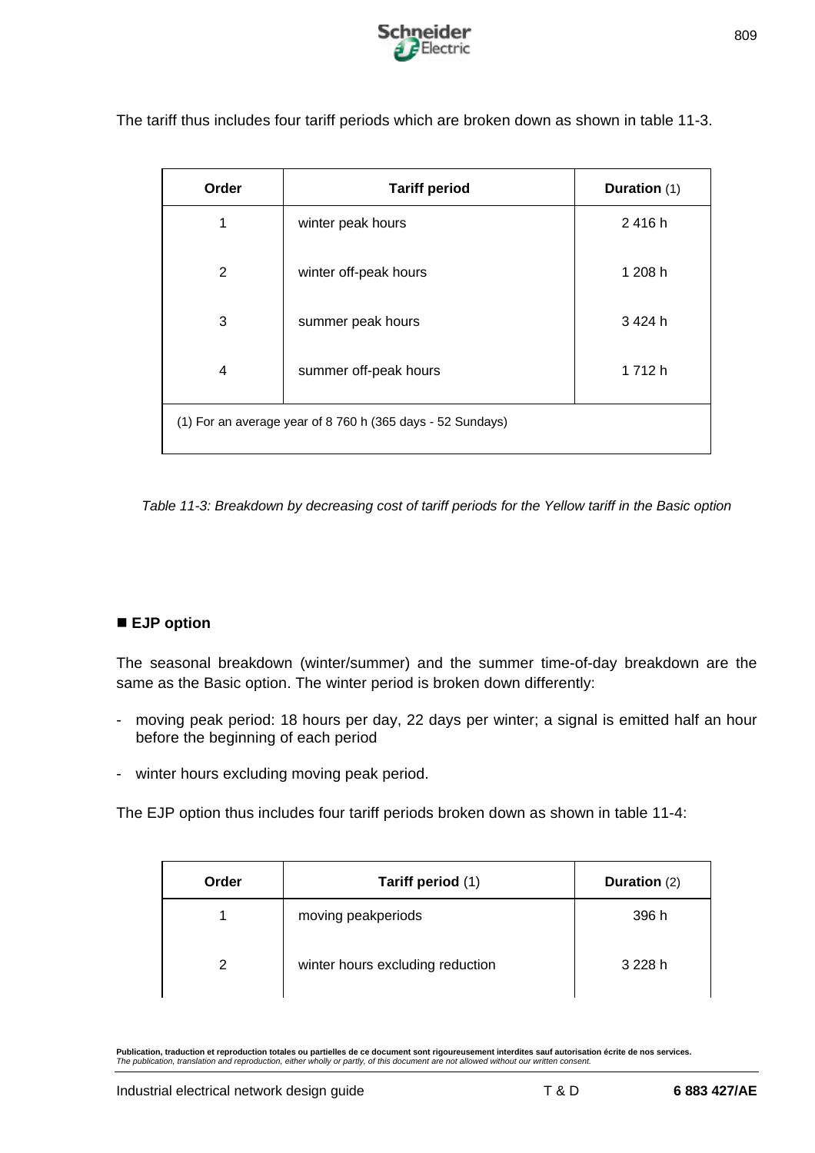

| Order | <b>Tariff period</b>                                       | Duration (1) |
|-------|------------------------------------------------------------|--------------|
| 1     | winter peak hours                                          | 2416h        |
| 2     | winter off-peak hours                                      | 1 208 h      |
| 3     | summer peak hours                                          | 3424h        |
| 4     | summer off-peak hours                                      | 1712h        |
|       | (1) For an average year of 8 760 h (365 days - 52 Sundays) |              |

The tariff thus includes four tariff periods which are broken down as shown in table 11-3.

*Table 11-3: Breakdown by decreasing cost of tariff periods for the Yellow tariff in the Basic option*

## ■ **EJP** option

The seasonal breakdown (winter/summer) and the summer time-of-day breakdown are the same as the Basic option. The winter period is broken down differently:

- moving peak period: 18 hours per day, 22 days per winter; a signal is emitted half an hour before the beginning of each period
- winter hours excluding moving peak period.

The EJP option thus includes four tariff periods broken down as shown in table 11-4:

| Order | Tariff period (1)                | Duration (2) |
|-------|----------------------------------|--------------|
|       | moving peakperiods               | 396 h        |
| 2     | winter hours excluding reduction | 3 228 h      |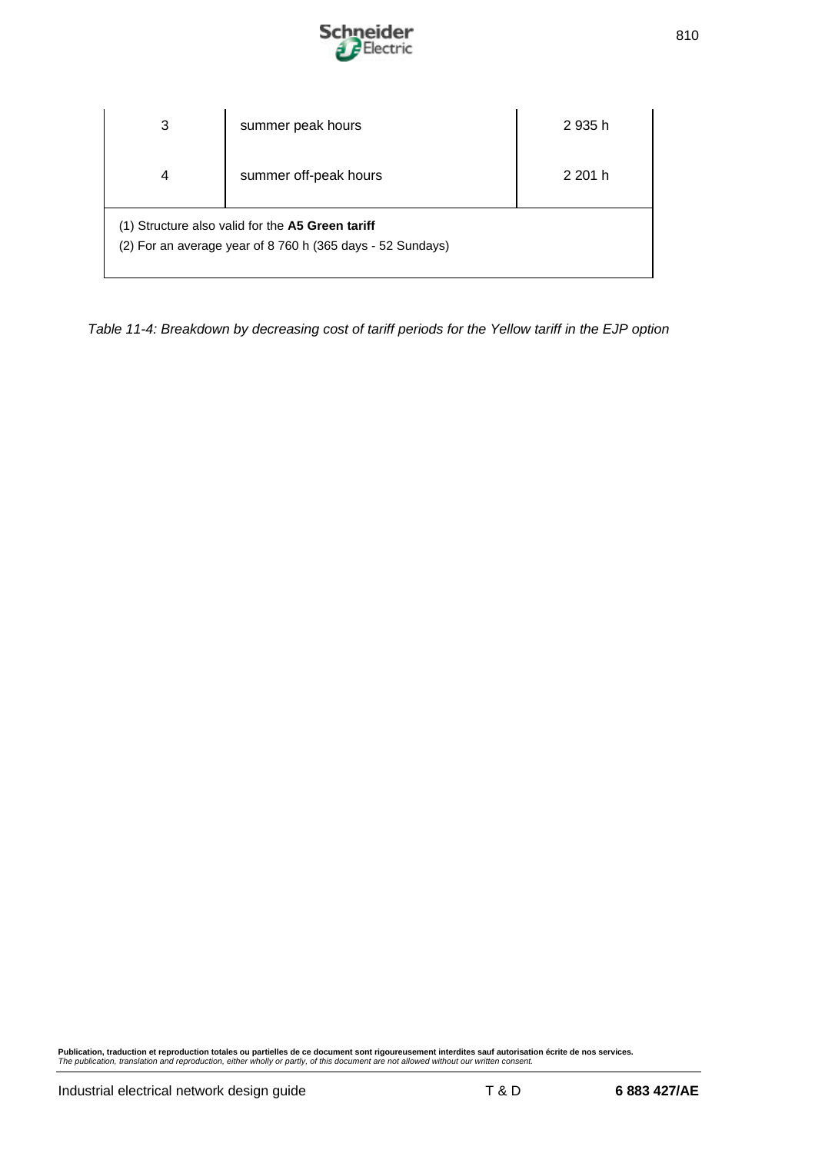

| 3                                                                                                              | summer peak hours     | 2 935 h |
|----------------------------------------------------------------------------------------------------------------|-----------------------|---------|
| 4                                                                                                              | summer off-peak hours | 2 201 h |
| (1) Structure also valid for the A5 Green tariff<br>(2) For an average year of 8 760 h (365 days - 52 Sundays) |                       |         |

*Table 11-4: Breakdown by decreasing cost of tariff periods for the Yellow tariff in the EJP option*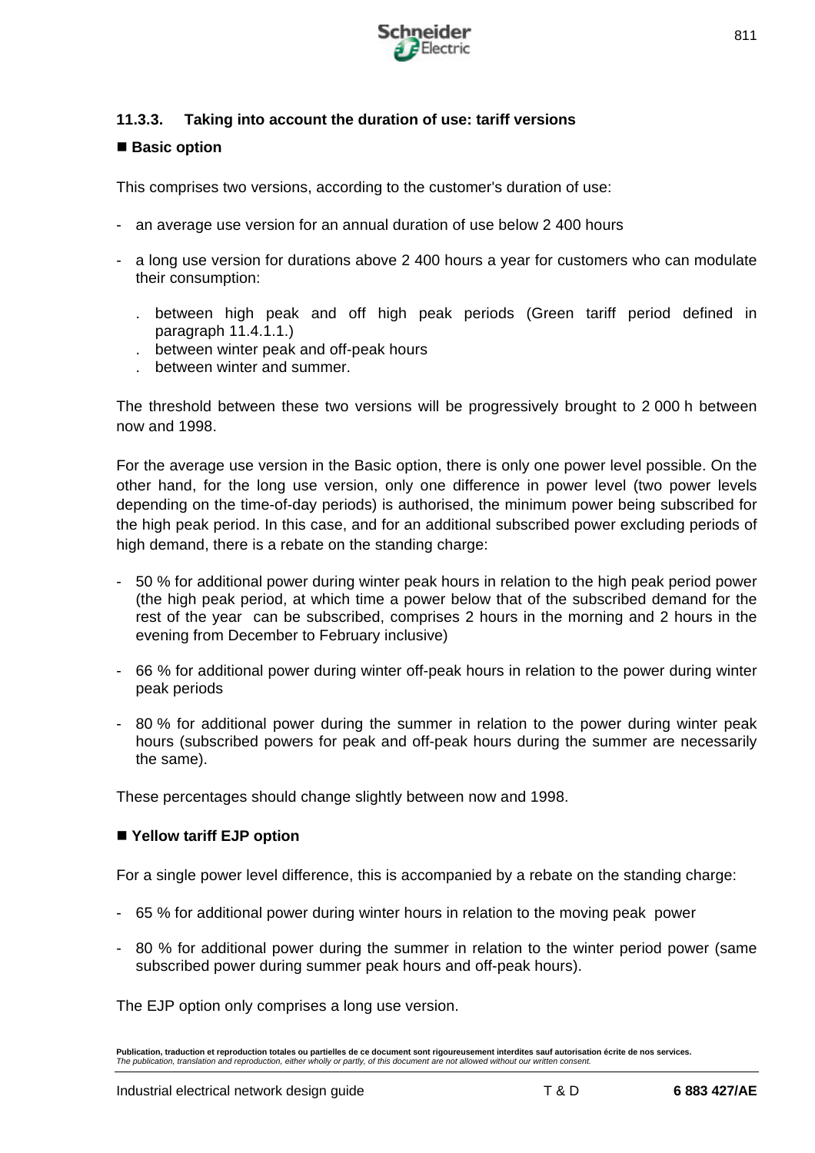

## **11.3.3. Taking into account the duration of use: tariff versions**

## ■ Basic option

This comprises two versions, according to the customer's duration of use:

- an average use version for an annual duration of use below 2 400 hours
- a long use version for durations above 2 400 hours a year for customers who can modulate their consumption:
	- . between high peak and off high peak periods (Green tariff period defined in paragraph 11.4.1.1.)
	- . between winter peak and off-peak hours
	- . between winter and summer.

The threshold between these two versions will be progressively brought to 2 000 h between now and 1998.

For the average use version in the Basic option, there is only one power level possible. On the other hand, for the long use version, only one difference in power level (two power levels depending on the time-of-day periods) is authorised, the minimum power being subscribed for the high peak period. In this case, and for an additional subscribed power excluding periods of high demand, there is a rebate on the standing charge:

- 50 % for additional power during winter peak hours in relation to the high peak period power (the high peak period, at which time a power below that of the subscribed demand for the rest of the year can be subscribed, comprises 2 hours in the morning and 2 hours in the evening from December to February inclusive)
- 66 % for additional power during winter off-peak hours in relation to the power during winter peak periods
- 80 % for additional power during the summer in relation to the power during winter peak hours (subscribed powers for peak and off-peak hours during the summer are necessarily the same).

These percentages should change slightly between now and 1998.

## ■ Yellow tariff EJP option

For a single power level difference, this is accompanied by a rebate on the standing charge:

- 65 % for additional power during winter hours in relation to the moving peak power
- 80 % for additional power during the summer in relation to the winter period power (same subscribed power during summer peak hours and off-peak hours).

The EJP option only comprises a long use version.

**Publication, traduction et reproduction totales ou partielles de ce document sont rigoureusement interdites sauf autorisation écrite de nos services.** *The publication, translation and reproduction, either wholly or partly, of this document are not allowed without our written consent.*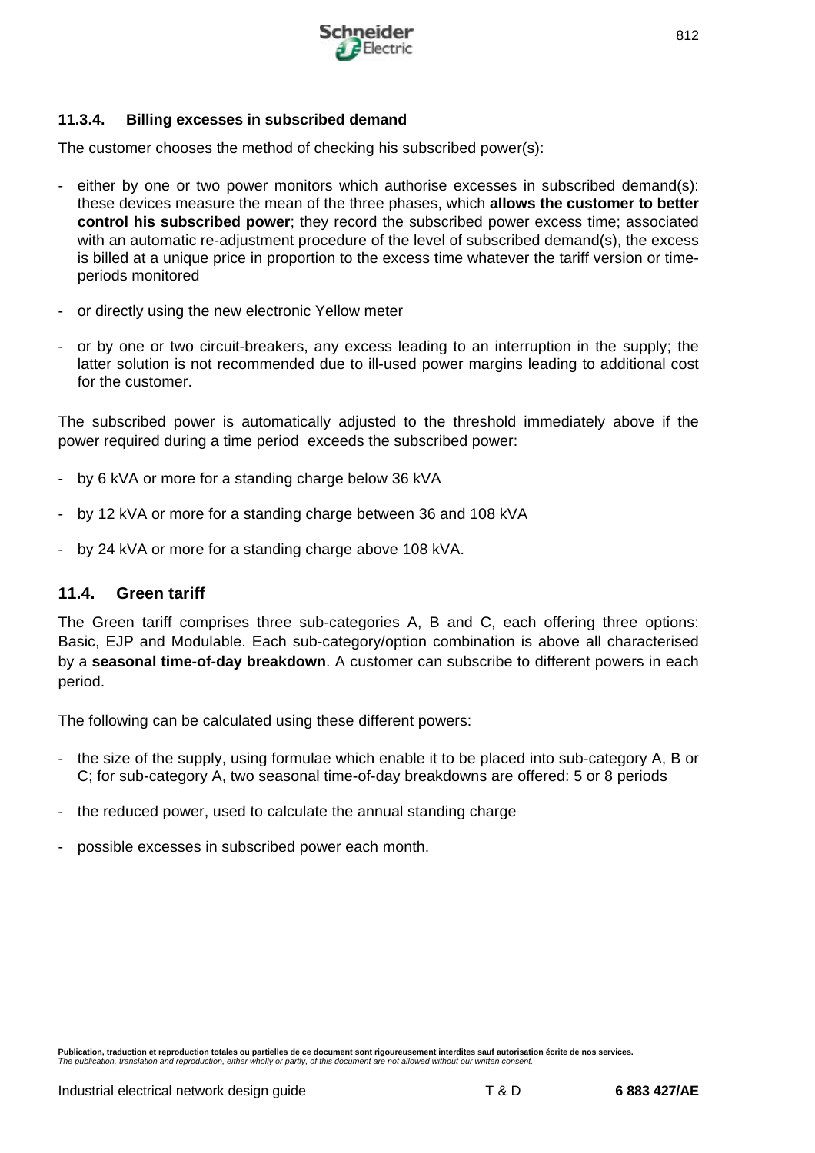

#### **11.3.4. Billing excesses in subscribed demand**

The customer chooses the method of checking his subscribed power(s):

- either by one or two power monitors which authorise excesses in subscribed demand(s): these devices measure the mean of the three phases, which **allows the customer to better control his subscribed power**; they record the subscribed power excess time; associated with an automatic re-adjustment procedure of the level of subscribed demand(s), the excess is billed at a unique price in proportion to the excess time whatever the tariff version or timeperiods monitored
- or directly using the new electronic Yellow meter
- or by one or two circuit-breakers, any excess leading to an interruption in the supply; the latter solution is not recommended due to ill-used power margins leading to additional cost for the customer.

The subscribed power is automatically adjusted to the threshold immediately above if the power required during a time period exceeds the subscribed power:

- by 6 kVA or more for a standing charge below 36 kVA
- by 12 kVA or more for a standing charge between 36 and 108 kVA
- by 24 kVA or more for a standing charge above 108 kVA.

## **11.4. Green tariff**

The Green tariff comprises three sub-categories A, B and C, each offering three options: Basic, EJP and Modulable. Each sub-category/option combination is above all characterised by a **seasonal time-of-day breakdown**. A customer can subscribe to different powers in each period.

The following can be calculated using these different powers:

- the size of the supply, using formulae which enable it to be placed into sub-category A, B or C; for sub-category A, two seasonal time-of-day breakdowns are offered: 5 or 8 periods
- the reduced power, used to calculate the annual standing charge
- possible excesses in subscribed power each month.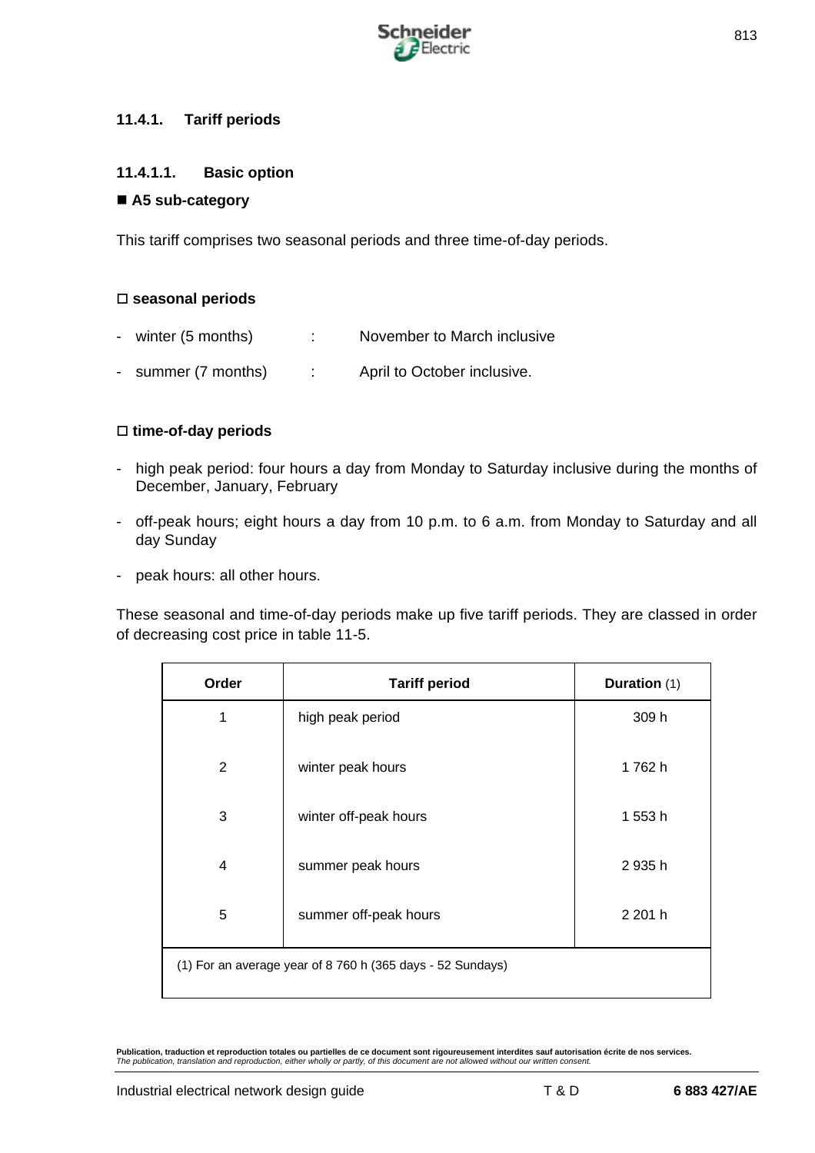

## **11.4.1. Tariff periods**

## **11.4.1.1. Basic option**

## ■ A5 sub-category

This tariff comprises two seasonal periods and three time-of-day periods.

## □ seasonal periods

- winter (5 months) : November to March inclusive
- summer (7 months) : April to October inclusive.

## □ time-of-day periods

- high peak period: four hours a day from Monday to Saturday inclusive during the months of December, January, February
- off-peak hours; eight hours a day from 10 p.m. to 6 a.m. from Monday to Saturday and all day Sunday
- peak hours: all other hours.

These seasonal and time-of-day periods make up five tariff periods. They are classed in order of decreasing cost price in table 11-5.

| Order          | <b>Tariff period</b>                                       | Duration (1) |
|----------------|------------------------------------------------------------|--------------|
| 1              | high peak period                                           | 309 h        |
| 2              | winter peak hours                                          | 1762h        |
| 3              | winter off-peak hours                                      | 1 553 h      |
| $\overline{4}$ | summer peak hours                                          | 2 935 h      |
| 5              | summer off-peak hours                                      | 2 201 h      |
|                | (1) For an average year of 8 760 h (365 days - 52 Sundays) |              |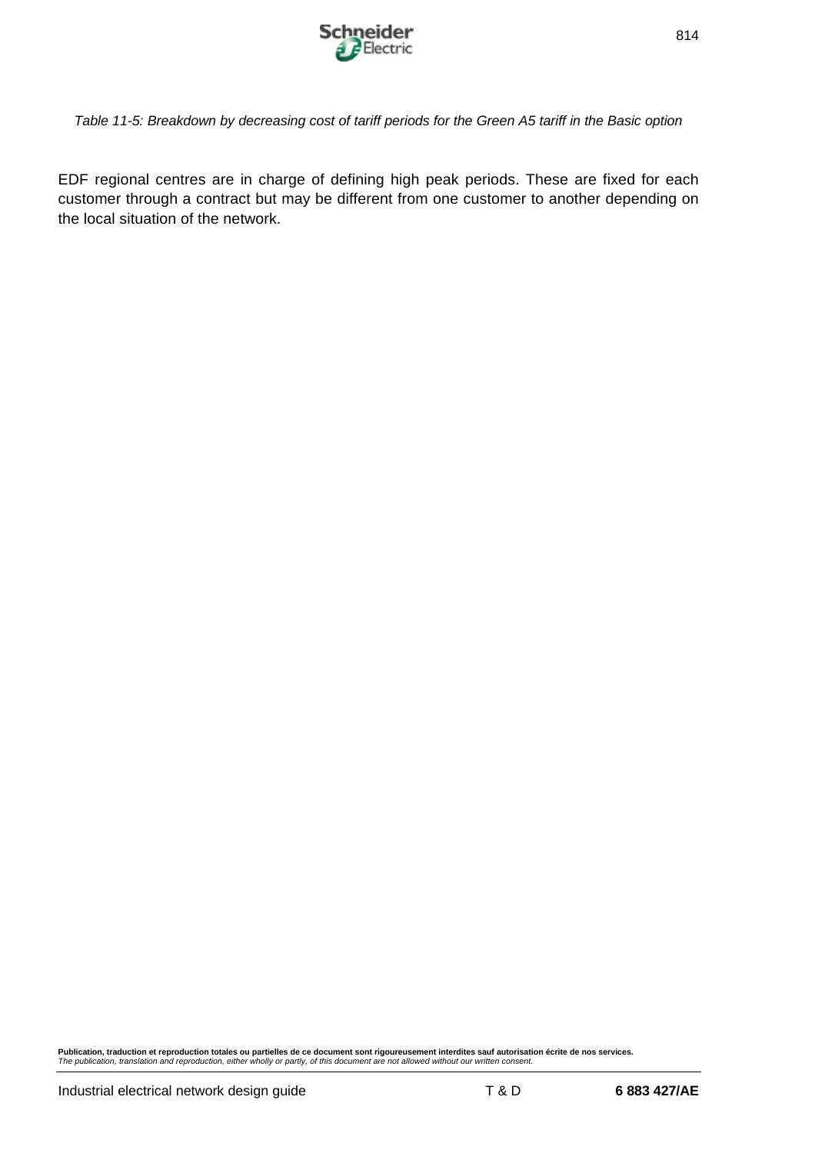

*Table 11-5: Breakdown by decreasing cost of tariff periods for the Green A5 tariff in the Basic option*

EDF regional centres are in charge of defining high peak periods. These are fixed for each customer through a contract but may be different from one customer to another depending on the local situation of the network.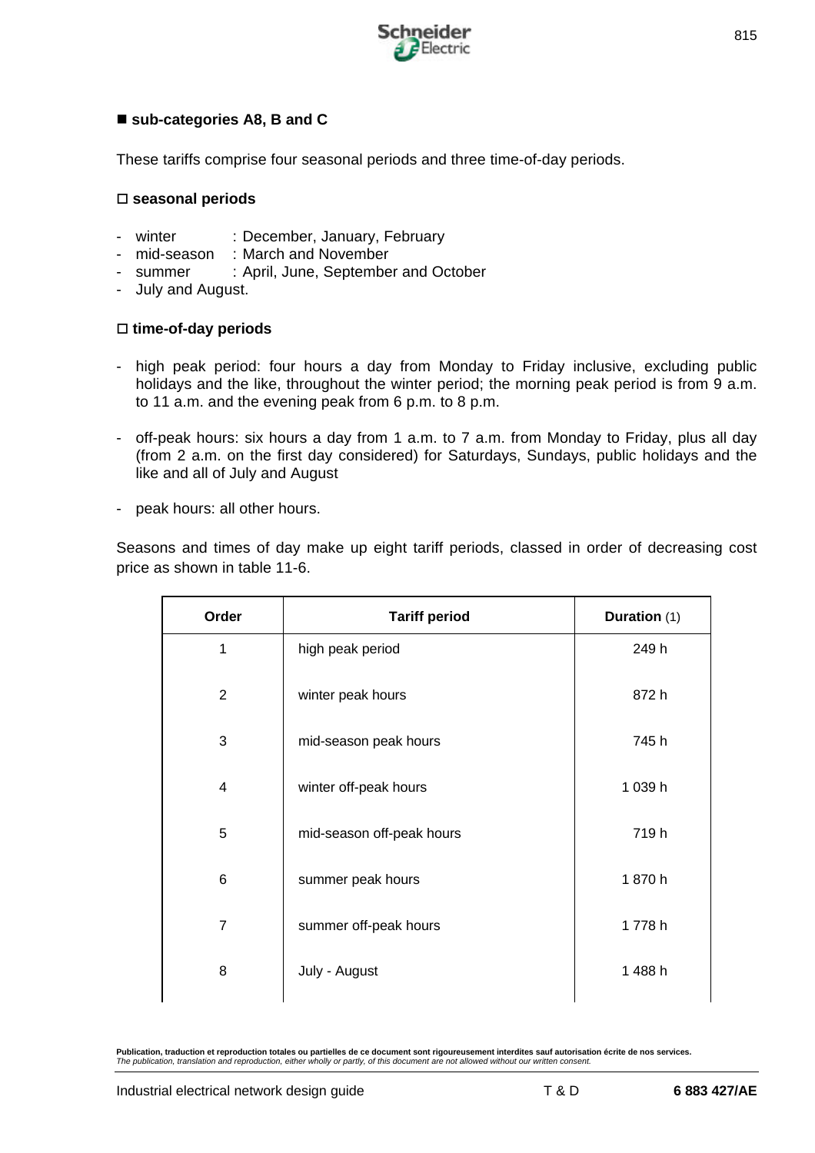

## ■ sub-categories A8, B and C

These tariffs comprise four seasonal periods and three time-of-day periods.

#### o **seasonal periods**

- winter : December, January, February
- mid-season : March and November
- summer : April, June, September and October
- July and August.

#### □ time-of-day periods

- high peak period: four hours a day from Monday to Friday inclusive, excluding public holidays and the like, throughout the winter period; the morning peak period is from 9 a.m. to 11 a.m. and the evening peak from 6 p.m. to 8 p.m.
- off-peak hours: six hours a day from 1 a.m. to 7 a.m. from Monday to Friday, plus all day (from 2 a.m. on the first day considered) for Saturdays, Sundays, public holidays and the like and all of July and August
- peak hours: all other hours.

Seasons and times of day make up eight tariff periods, classed in order of decreasing cost price as shown in table 11-6.

| Order          | <b>Tariff period</b>      | Duration (1) |
|----------------|---------------------------|--------------|
| 1              | high peak period          | 249 h        |
| $\overline{2}$ | winter peak hours         | 872 h        |
| 3              | mid-season peak hours     | 745h         |
| 4              | winter off-peak hours     | 1 039 h      |
| 5              | mid-season off-peak hours | 719h         |
| 6              | summer peak hours         | 1870h        |
| $\overline{7}$ | summer off-peak hours     | 1778h        |
| 8              | July - August             | 1488h        |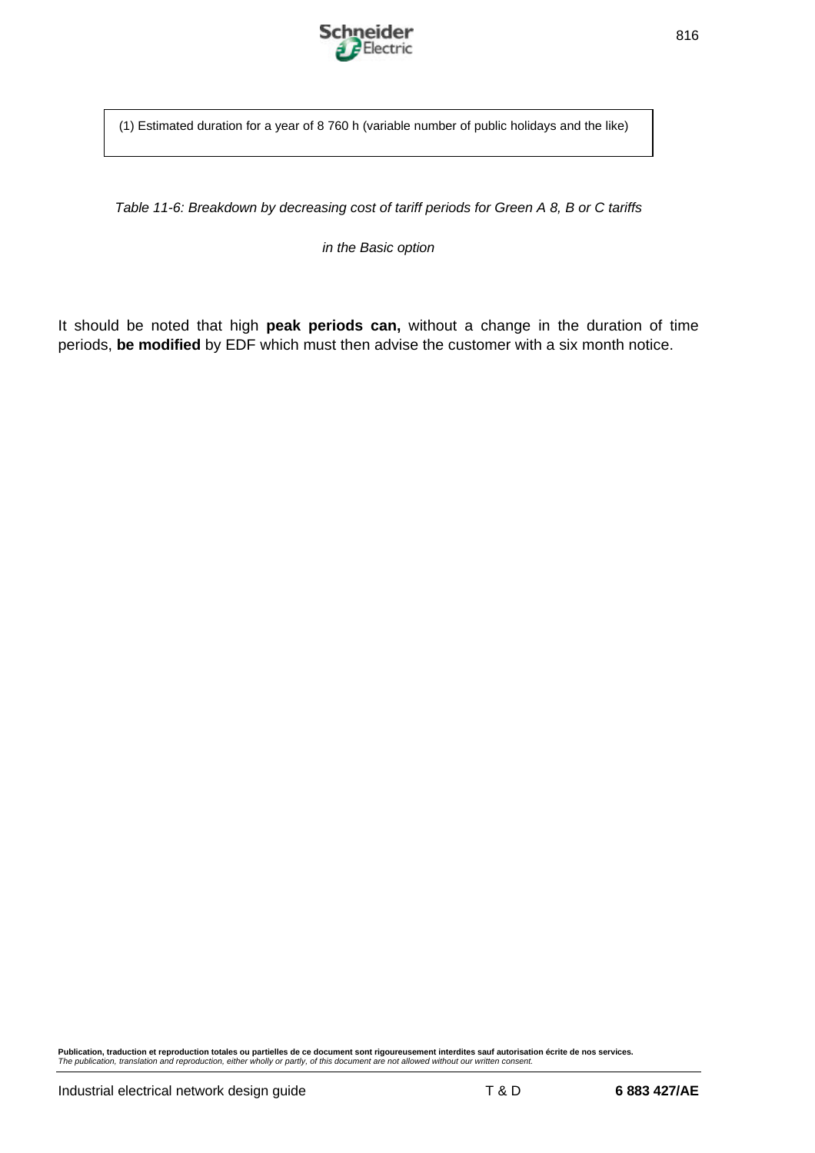

(1) Estimated duration for a year of 8 760 h (variable number of public holidays and the like)

*Table 11-6: Breakdown by decreasing cost of tariff periods for Green A 8, B or C tariffs*

*in the Basic option*

It should be noted that high **peak periods can,** without a change in the duration of time periods, **be modified** by EDF which must then advise the customer with a six month notice.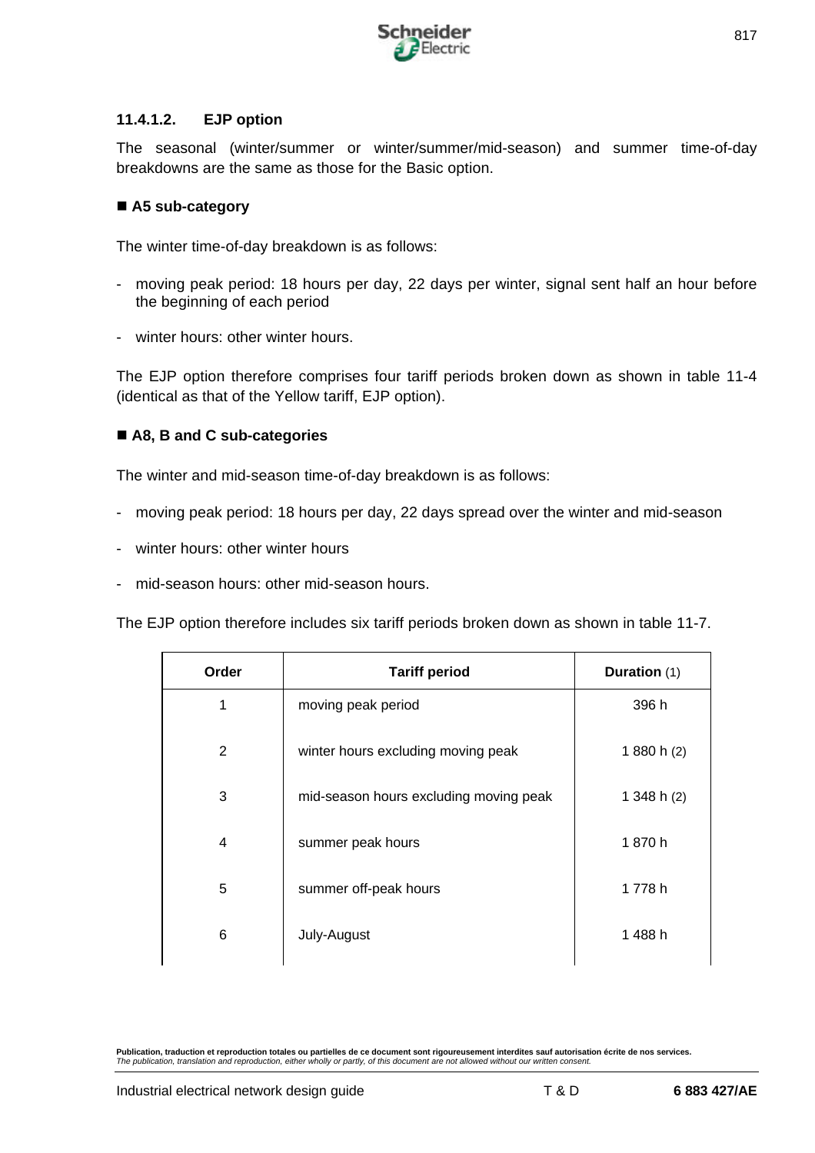

## **11.4.1.2. EJP option**

The seasonal (winter/summer or winter/summer/mid-season) and summer time-of-day breakdowns are the same as those for the Basic option.

## ■ A5 sub-category

The winter time-of-day breakdown is as follows:

- moving peak period: 18 hours per day, 22 days per winter, signal sent half an hour before the beginning of each period
- winter hours: other winter hours.

The EJP option therefore comprises four tariff periods broken down as shown in table 11-4 (identical as that of the Yellow tariff, EJP option).

## ■ A8, B and C sub-categories

The winter and mid-season time-of-day breakdown is as follows:

- moving peak period: 18 hours per day, 22 days spread over the winter and mid-season
- winter hours: other winter hours
- mid-season hours: other mid-season hours.

The EJP option therefore includes six tariff periods broken down as shown in table 11-7.

| Order | <b>Tariff period</b>                   | Duration (1)  |
|-------|----------------------------------------|---------------|
| 1     | moving peak period                     | 396 h         |
| 2     | winter hours excluding moving peak     | 1 880 h (2)   |
| 3     | mid-season hours excluding moving peak | 1 348 h $(2)$ |
| 4     | summer peak hours                      | 1870h         |
| 5     | summer off-peak hours                  | 1778h         |
| 6     | July-August                            | 1 488 h       |
|       |                                        |               |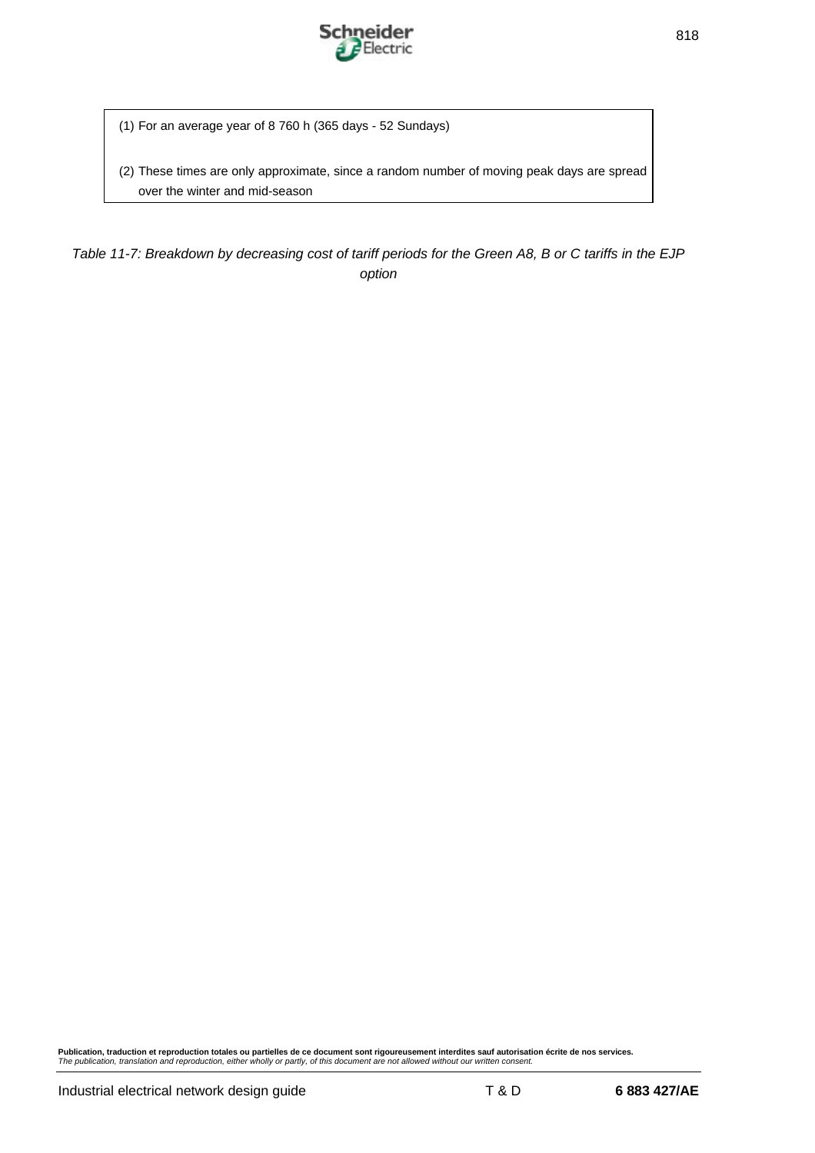

(1) For an average year of 8 760 h (365 days - 52 Sundays)

(2) These times are only approximate, since a random number of moving peak days are spread over the winter and mid-season

*Table 11-7: Breakdown by decreasing cost of tariff periods for the Green A8, B or C tariffs in the EJP option*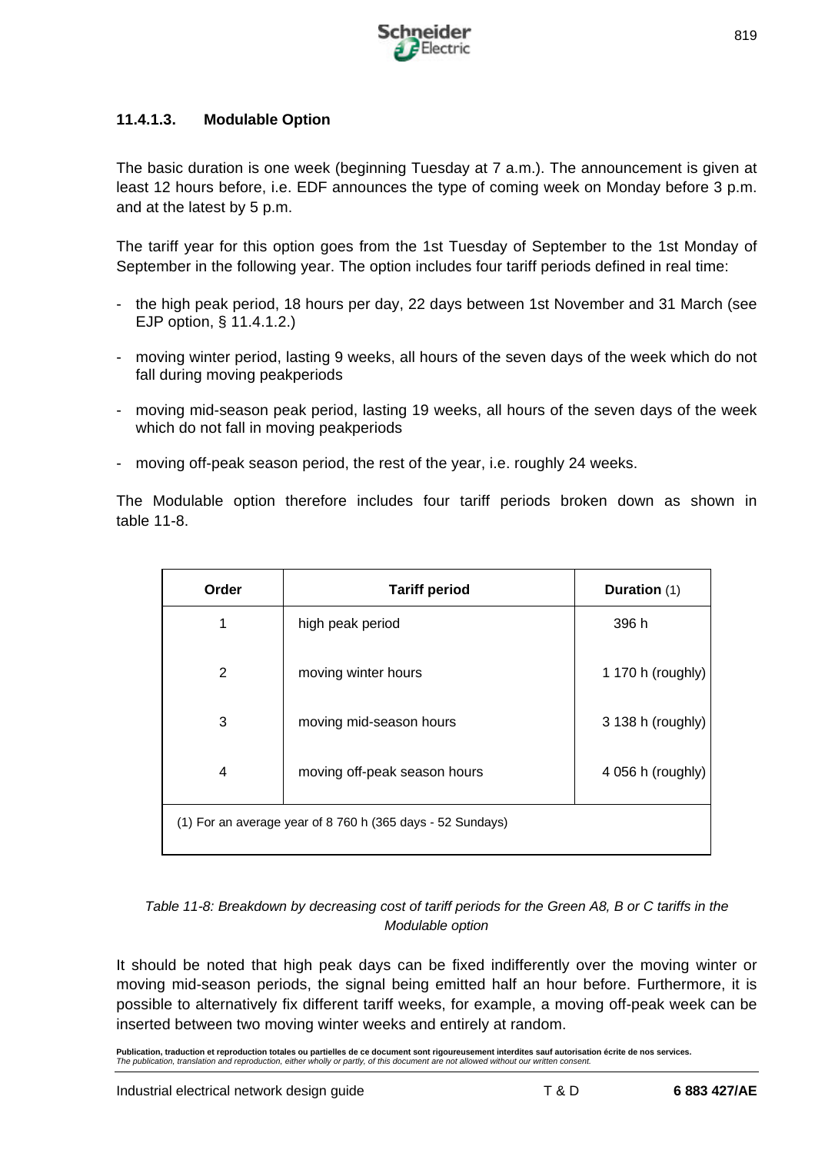

## **11.4.1.3. Modulable Option**

The basic duration is one week (beginning Tuesday at 7 a.m.). The announcement is given at least 12 hours before, i.e. EDF announces the type of coming week on Monday before 3 p.m. and at the latest by 5 p.m.

The tariff year for this option goes from the 1st Tuesday of September to the 1st Monday of September in the following year. The option includes four tariff periods defined in real time:

- the high peak period, 18 hours per day, 22 days between 1st November and 31 March (see EJP option, § 11.4.1.2.)
- moving winter period, lasting 9 weeks, all hours of the seven days of the week which do not fall during moving peakperiods
- moving mid-season peak period, lasting 19 weeks, all hours of the seven days of the week which do not fall in moving peakperiods
- moving off-peak season period, the rest of the year, i.e. roughly 24 weeks.

The Modulable option therefore includes four tariff periods broken down as shown in table 11-8.

| Order | <b>Tariff period</b>                                       | Duration (1)      |
|-------|------------------------------------------------------------|-------------------|
| 1     | high peak period                                           | 396 h             |
| 2     | moving winter hours                                        | 1 170 h (roughly) |
| 3     | moving mid-season hours                                    | 3 138 h (roughly) |
| 4     | moving off-peak season hours                               | 4 056 h (roughly) |
|       | (1) For an average year of 8 760 h (365 days - 52 Sundays) |                   |

## *Table 11-8: Breakdown by decreasing cost of tariff periods for the Green A8, B or C tariffs in the Modulable option*

It should be noted that high peak days can be fixed indifferently over the moving winter or moving mid-season periods, the signal being emitted half an hour before. Furthermore, it is possible to alternatively fix different tariff weeks, for example, a moving off-peak week can be inserted between two moving winter weeks and entirely at random.

**Publication, traduction et reproduction totales ou partielles de ce document sont rigoureusement interdites sauf autorisation écrite de nos services.** *The publication, translation and reproduction, either wholly or partly, of this document are not allowed without our written consent.*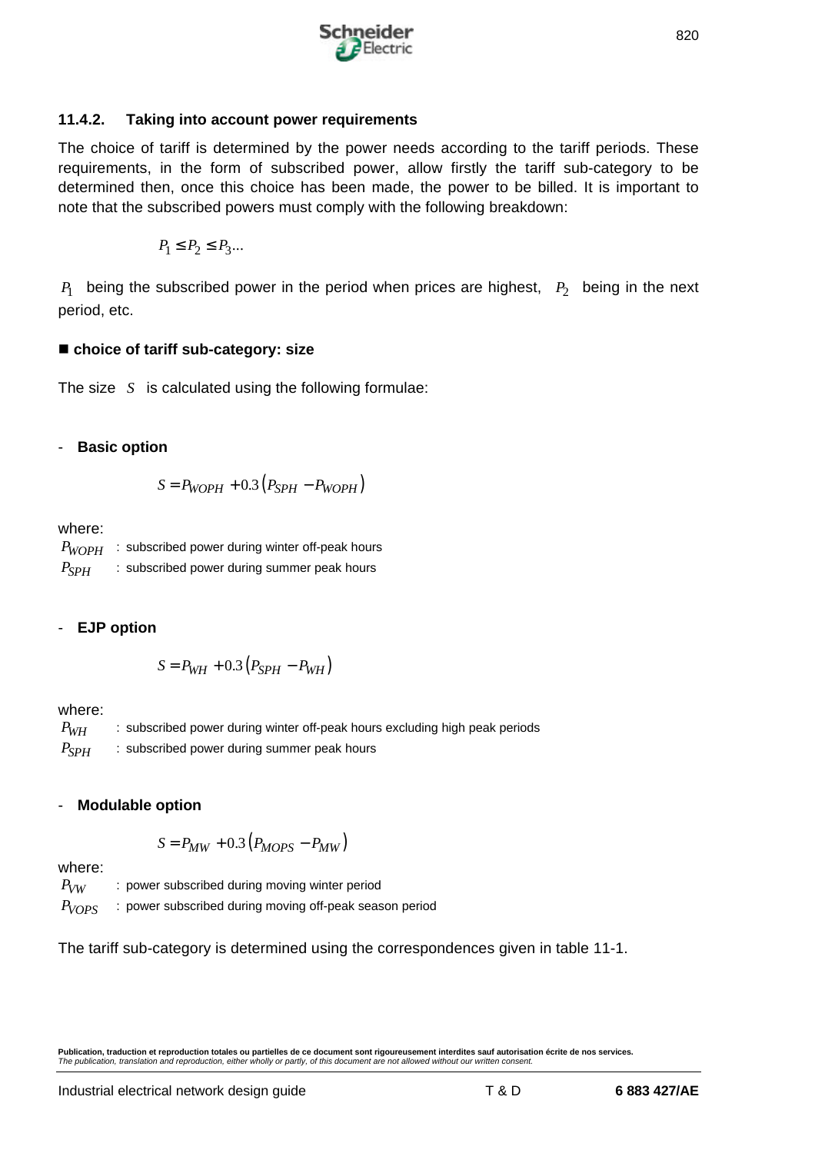

#### **11.4.2. Taking into account power requirements**

The choice of tariff is determined by the power needs according to the tariff periods. These requirements, in the form of subscribed power, allow firstly the tariff sub-category to be determined then, once this choice has been made, the power to be billed. It is important to note that the subscribed powers must comply with the following breakdown:

$$
P_1 \leq P_2 \leq P_3 ...
$$

 $P_1$  being the subscribed power in the period when prices are highest,  $P_2$  being in the next period, etc.

## ■ choice of tariff sub-category: size

The size *S* is calculated using the following formulae:

## - **Basic option**

$$
S = P_{WOPH} + 0.3(P_{SPH} - P_{WOPH})
$$

where:

| $P_{WOPH}$ | : subscribed power during winter off-peak hours |
|------------|-------------------------------------------------|
| $P_{SPH}$  | : subscribed power during summer peak hours     |

# - **EJP option**

$$
S = P_{WH} + 0.3(P_{SPH} - P_{WH})
$$

where:

*P<sub>WH</sub>* : subscribed power during winter off-peak hours excluding high peak periods *P<sub>SPH</sub>* : subscribed power during summer peak hours

# - **Modulable option**

$$
S = P_{MW} + 0.3(P_{MOPS} - P_{MW})
$$

where:

*P<sub>VW</sub>* : power subscribed during moving winter period

*PVOPS* : power subscribed during moving off-peak season period

The tariff sub-category is determined using the correspondences given in table 11-1.

**Publication, traduction et reproduction totales ou partielles de ce document sont rigoureusement interdites sauf autorisation écrite de nos services.** *The publication, translation and reproduction, either wholly or partly, of this document are not allowed without our written consent.*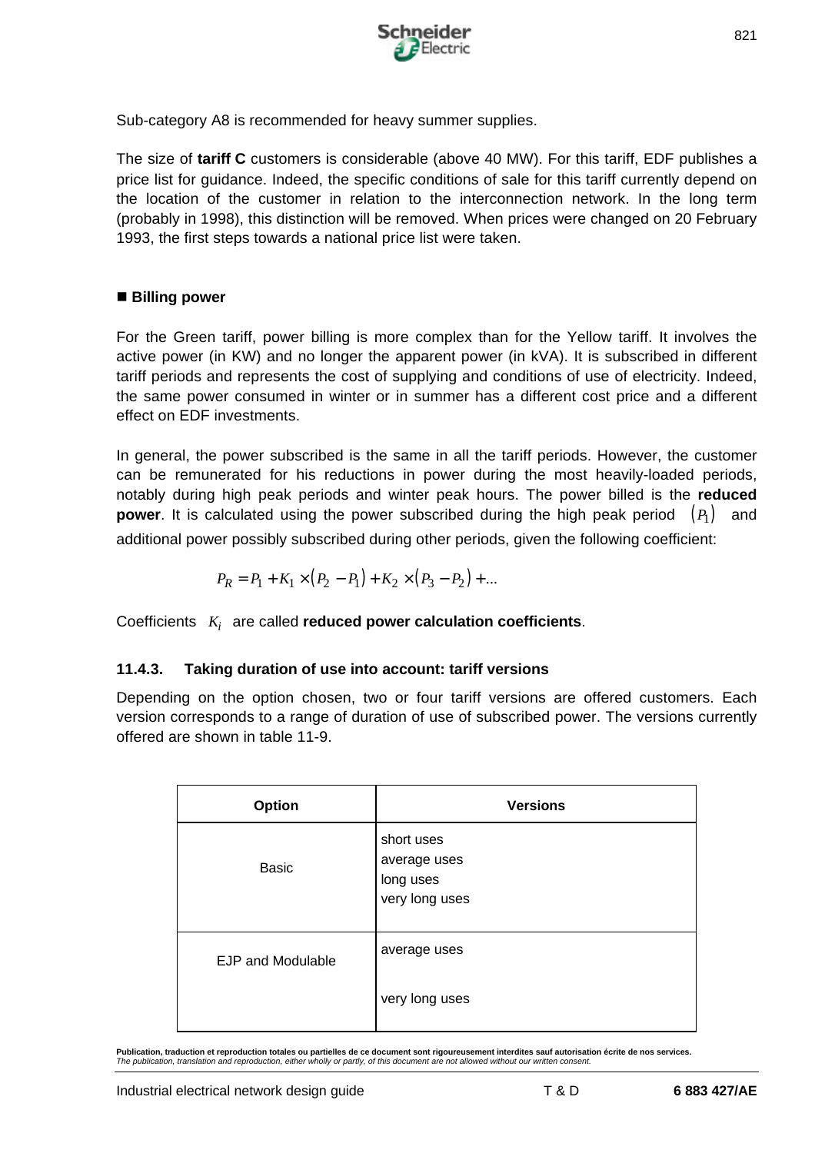

Sub-category A8 is recommended for heavy summer supplies.

The size of **tariff C** customers is considerable (above 40 MW). For this tariff, EDF publishes a price list for guidance. Indeed, the specific conditions of sale for this tariff currently depend on the location of the customer in relation to the interconnection network. In the long term (probably in 1998), this distinction will be removed. When prices were changed on 20 February 1993, the first steps towards a national price list were taken.

## ■ Billing power

For the Green tariff, power billing is more complex than for the Yellow tariff. It involves the active power (in KW) and no longer the apparent power (in kVA). It is subscribed in different tariff periods and represents the cost of supplying and conditions of use of electricity. Indeed, the same power consumed in winter or in summer has a different cost price and a different effect on EDF investments.

In general, the power subscribed is the same in all the tariff periods. However, the customer can be remunerated for his reductions in power during the most heavily-loaded periods, notably during high peak periods and winter peak hours. The power billed is the **reduced power**. It is calculated using the power subscribed during the high peak period  $(P_1)$  and additional power possibly subscribed during other periods, given the following coefficient:

$$
P_R = P_1 + K_1 \times (P_2 - P_1) + K_2 \times (P_3 - P_2) + \dots
$$

Coefficients *K<sup>i</sup>* are called **reduced power calculation coefficients**.

# **11.4.3. Taking duration of use into account: tariff versions**

Depending on the option chosen, two or four tariff versions are offered customers. Each version corresponds to a range of duration of use of subscribed power. The versions currently offered are shown in table 11-9.

| Option                   | <b>Versions</b>                                           |
|--------------------------|-----------------------------------------------------------|
| <b>Basic</b>             | short uses<br>average uses<br>long uses<br>very long uses |
| <b>EJP and Modulable</b> | average uses                                              |
|                          | very long uses                                            |

**Publication, traduction et reproduction totales ou partielles de ce document sont rigoureusement interdites sauf autorisation écrite de nos services.** *The publication, translation and reproduction, either wholly or partly, of this document are not allowed without our written consent.*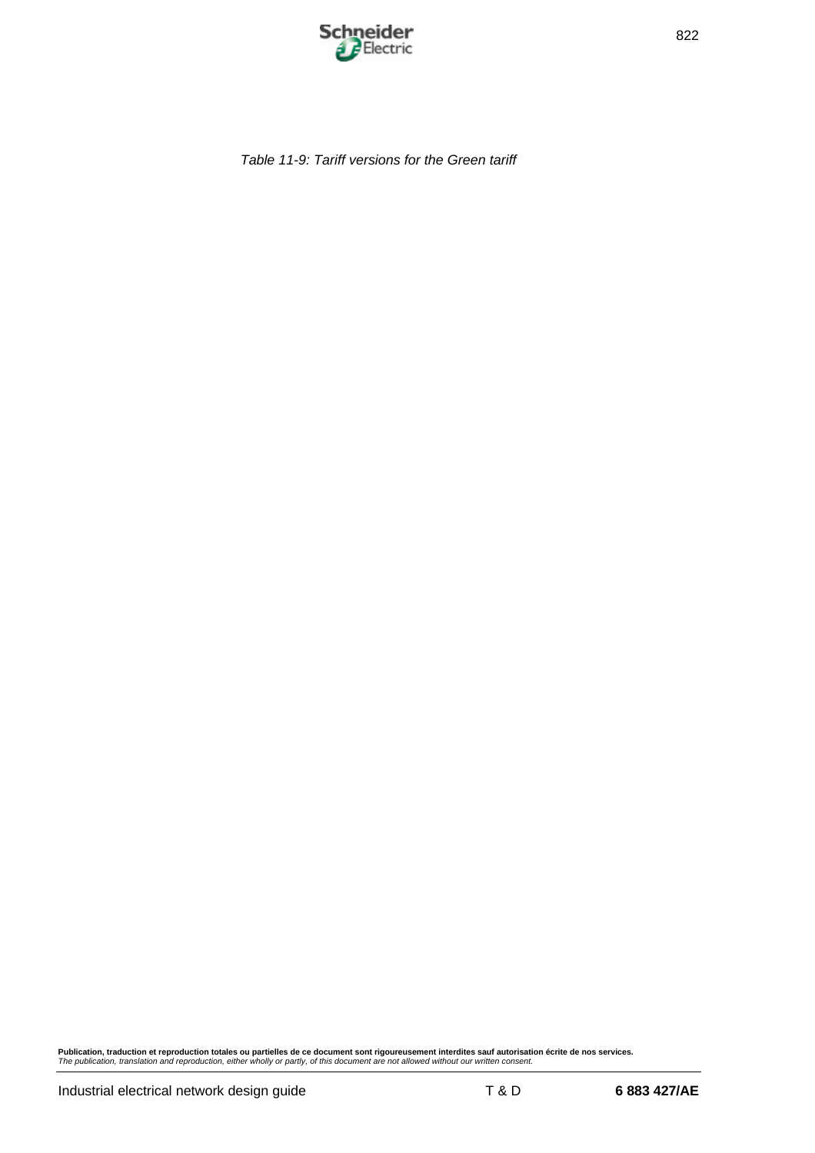

*Table 11-9: Tariff versions for the Green tariff*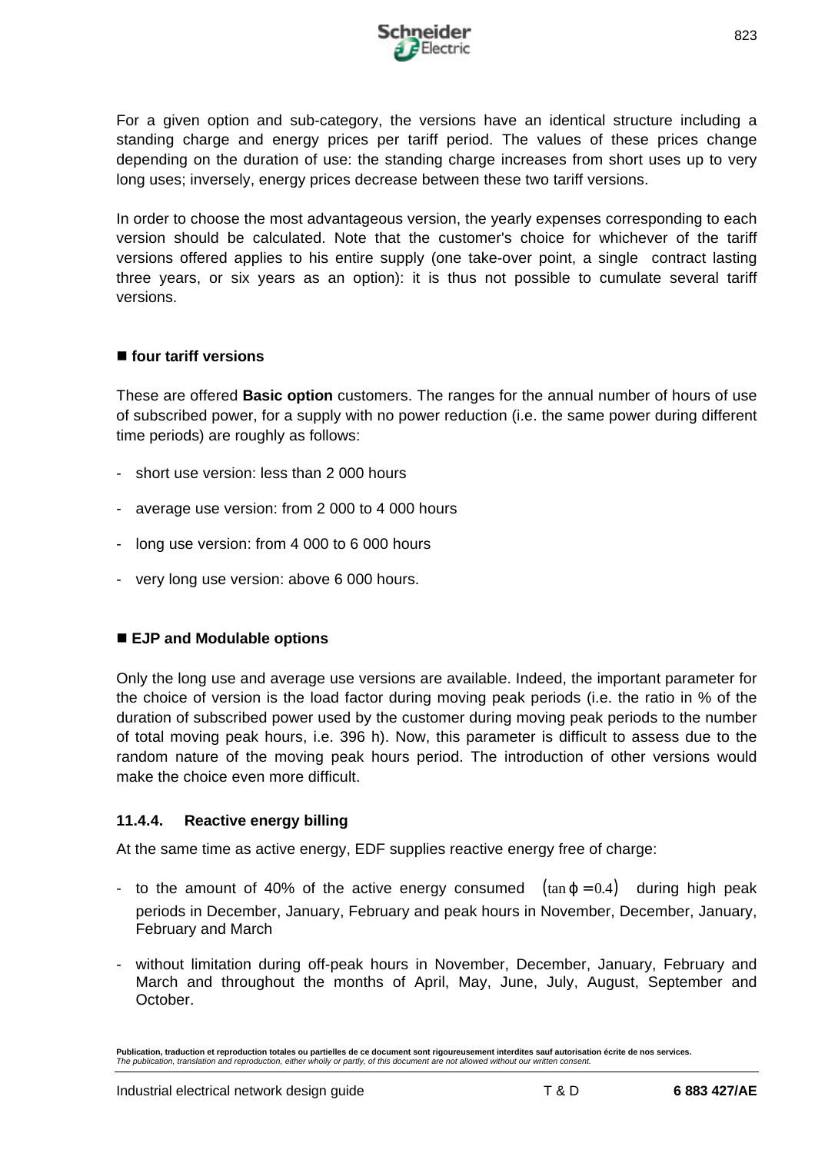

For a given option and sub-category, the versions have an identical structure including a standing charge and energy prices per tariff period. The values of these prices change depending on the duration of use: the standing charge increases from short uses up to very long uses; inversely, energy prices decrease between these two tariff versions.

In order to choose the most advantageous version, the yearly expenses corresponding to each version should be calculated. Note that the customer's choice for whichever of the tariff versions offered applies to his entire supply (one take-over point, a single contract lasting three years, or six years as an option): it is thus not possible to cumulate several tariff versions.

## ■ four tariff versions

These are offered **Basic option** customers. The ranges for the annual number of hours of use of subscribed power, for a supply with no power reduction (i.e. the same power during different time periods) are roughly as follows:

- short use version: less than 2 000 hours
- average use version: from 2 000 to 4 000 hours
- long use version: from 4 000 to 6 000 hours
- very long use version: above 6 000 hours.

## ■ EJP and Modulable options

Only the long use and average use versions are available. Indeed, the important parameter for the choice of version is the load factor during moving peak periods (i.e. the ratio in % of the duration of subscribed power used by the customer during moving peak periods to the number of total moving peak hours, i.e. 396 h). Now, this parameter is difficult to assess due to the random nature of the moving peak hours period. The introduction of other versions would make the choice even more difficult.

# **11.4.4. Reactive energy billing**

At the same time as active energy, EDF supplies reactive energy free of charge:

- to the amount of 40% of the active energy consumed  $(\tan j = 0.4)$  during high peak periods in December, January, February and peak hours in November, December, January, February and March
- without limitation during off-peak hours in November, December, January, February and March and throughout the months of April, May, June, July, August, September and October.

**Publication, traduction et reproduction totales ou partielles de ce document sont rigoureusement interdites sauf autorisation écrite de nos services.** *The publication, translation and reproduction, either wholly or partly, of this document are not allowed without our written consent.*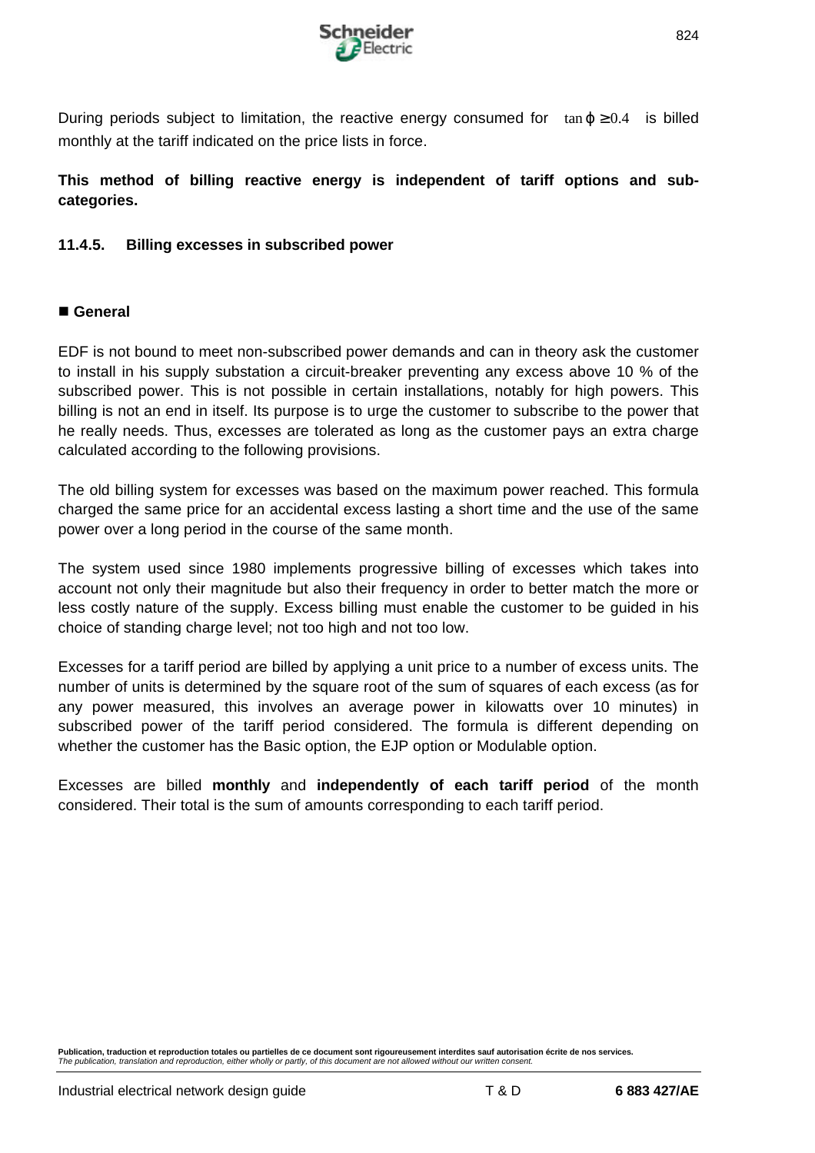

During periods subject to limitation, the reactive energy consumed for  $tan i \ge 0.4$  is billed monthly at the tariff indicated on the price lists in force.

**This method of billing reactive energy is independent of tariff options and subcategories.**

## **11.4.5. Billing excesses in subscribed power**

## n **General**

EDF is not bound to meet non-subscribed power demands and can in theory ask the customer to install in his supply substation a circuit-breaker preventing any excess above 10 % of the subscribed power. This is not possible in certain installations, notably for high powers. This billing is not an end in itself. Its purpose is to urge the customer to subscribe to the power that he really needs. Thus, excesses are tolerated as long as the customer pays an extra charge calculated according to the following provisions.

The old billing system for excesses was based on the maximum power reached. This formula charged the same price for an accidental excess lasting a short time and the use of the same power over a long period in the course of the same month.

The system used since 1980 implements progressive billing of excesses which takes into account not only their magnitude but also their frequency in order to better match the more or less costly nature of the supply. Excess billing must enable the customer to be guided in his choice of standing charge level; not too high and not too low.

Excesses for a tariff period are billed by applying a unit price to a number of excess units. The number of units is determined by the square root of the sum of squares of each excess (as for any power measured, this involves an average power in kilowatts over 10 minutes) in subscribed power of the tariff period considered. The formula is different depending on whether the customer has the Basic option, the EJP option or Modulable option.

Excesses are billed **monthly** and **independently of each tariff period** of the month considered. Their total is the sum of amounts corresponding to each tariff period.

**Publication, traduction et reproduction totales ou partielles de ce document sont rigoureusement interdites sauf autorisation écrite de nos services.** *The publication, translation and reproduction, either wholly or partly, of this document are not allowed without our written consent.*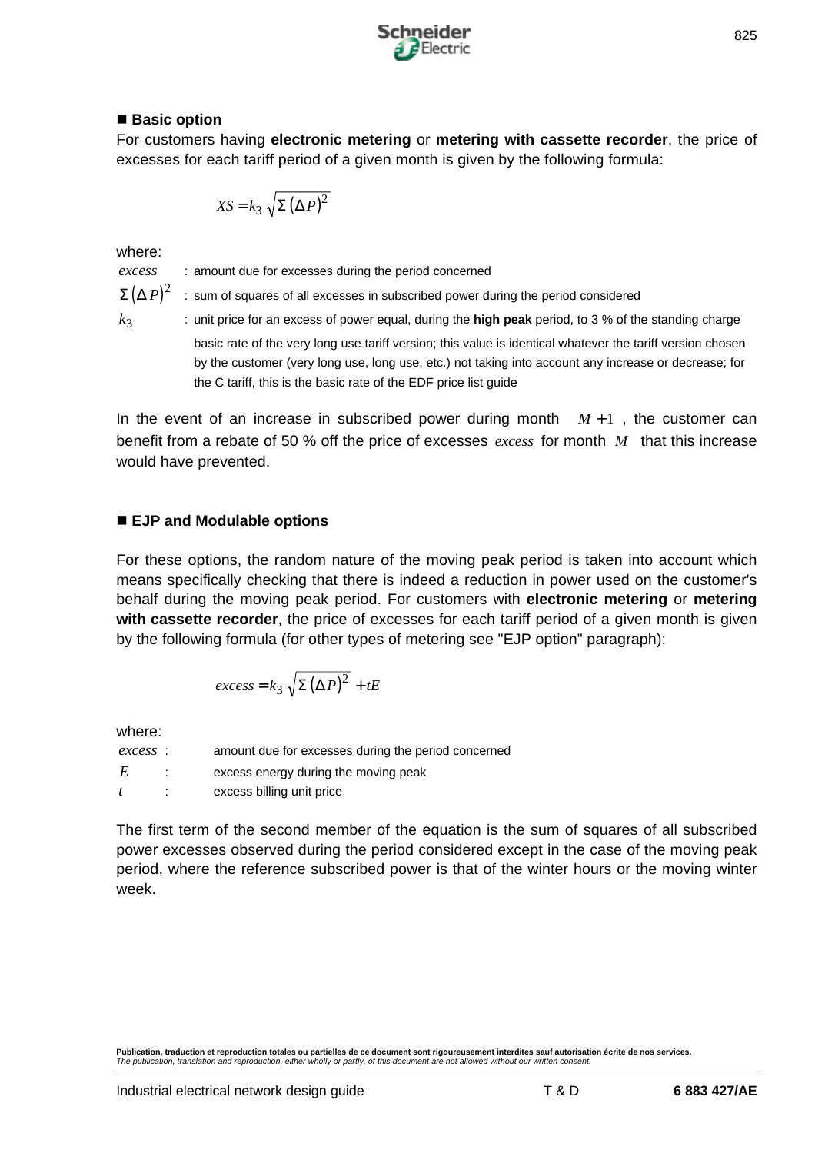

## ■ Basic option

For customers having **electronic metering** or **metering with cassette recorder**, the price of excesses for each tariff period of a given month is given by the following formula:

$$
XS = k_3 \sqrt{\Sigma (\Delta P)^2}
$$

where:

*excess* : amount due for excesses during the period concerned

 $k_3$ 

 $\Sigma \left( \Delta \, P \right)^2$   $\;$  : sum of squares of all excesses in subscribed power during the period considered

: unit price for an excess of power equal, during the **high peak** period, to 3 % of the standing charge basic rate of the very long use tariff version; this value is identical whatever the tariff version chosen by the customer (very long use, long use, etc.) not taking into account any increase or decrease; for the C tariff, this is the basic rate of the EDF price list guide

In the event of an increase in subscribed power during month  $M+1$ , the customer can benefit from a rebate of 50 % off the price of excesses *excess* for month *M* that this increase would have prevented.

# ■ EJP and Modulable options

For these options, the random nature of the moving peak period is taken into account which means specifically checking that there is indeed a reduction in power used on the customer's behalf during the moving peak period. For customers with **electronic metering** or **metering with cassette recorder**, the price of excesses for each tariff period of a given month is given by the following formula (for other types of metering see "EJP option" paragraph):

$$
excess = k_3 \sqrt{\Sigma (\Delta P)^2} + tE
$$

where:

| excess: | amount due for excesses during the period concerned |
|---------|-----------------------------------------------------|
|         | excess energy during the moving peak                |
|         | excess billing unit price                           |

The first term of the second member of the equation is the sum of squares of all subscribed power excesses observed during the period considered except in the case of the moving peak period, where the reference subscribed power is that of the winter hours or the moving winter week.

**Publication, traduction et reproduction totales ou partielles de ce document sont rigoureusement interdites sauf autorisation écrite de nos services.** *The publication, translation and reproduction, either wholly or partly, of this document are not allowed without our written consent.*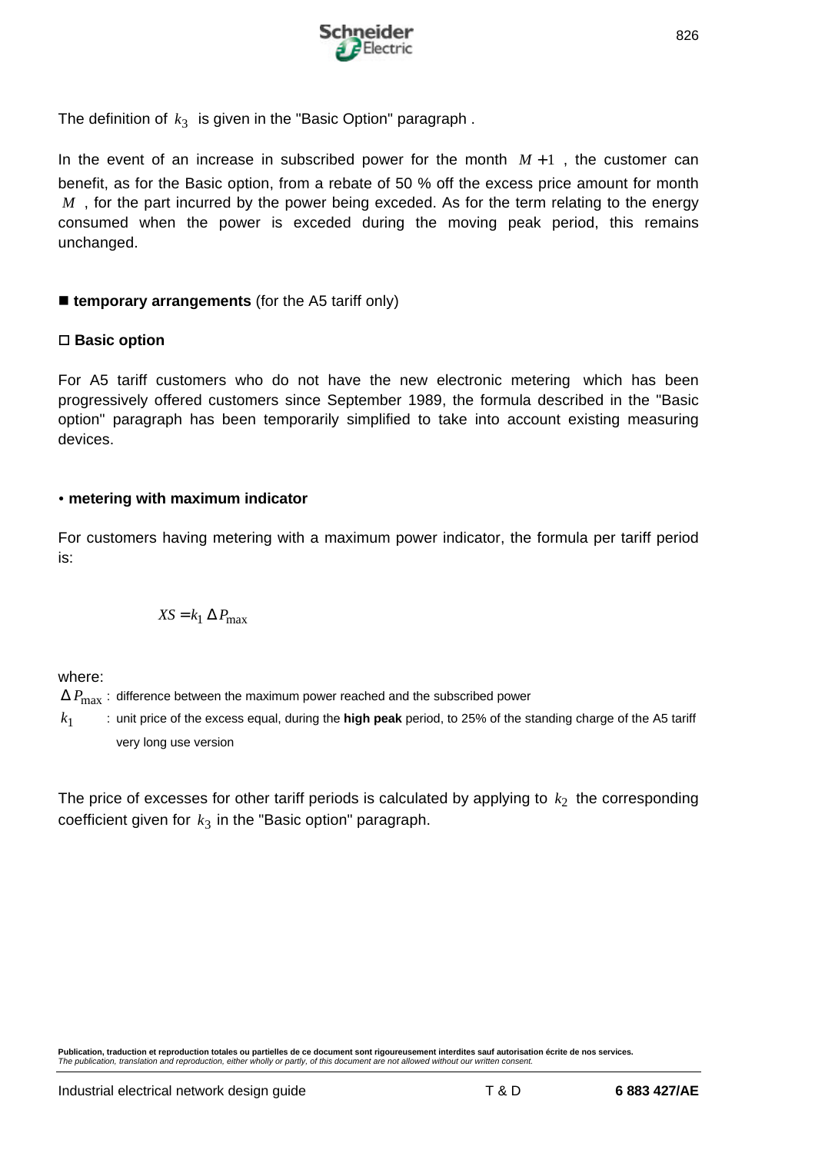

The definition of  $\,k_3\,$  is given in the "Basic Option" paragraph .

In the event of an increase in subscribed power for the month  $M+1$ , the customer can benefit, as for the Basic option, from a rebate of 50 % off the excess price amount for month *M*, for the part incurred by the power being exceded. As for the term relating to the energy consumed when the power is exceded during the moving peak period, this remains unchanged.

## **E** temporary arrangements (for the A5 tariff only)

#### □ **Basic option**

For A5 tariff customers who do not have the new electronic metering which has been progressively offered customers since September 1989, the formula described in the "Basic option" paragraph has been temporarily simplified to take into account existing measuring devices.

#### ü **metering with maximum indicator**

For customers having metering with a maximum power indicator, the formula per tariff period is:

$$
XS = k_1 \Delta P_{\text{max}}
$$

where:

 $\Delta P_{\text{max}}$  : difference between the maximum power reached and the subscribed power

 $k<sub>1</sub>$ : unit price of the excess equal, during the **high peak** period, to 25% of the standing charge of the A5 tariff very long use version

The price of excesses for other tariff periods is calculated by applying to  $\,k_2\,$  the corresponding  $\,$  coefficient given for  $\,k_3\,$  in the "Basic option" paragraph.

**Publication, traduction et reproduction totales ou partielles de ce document sont rigoureusement interdites sauf autorisation écrite de nos services.** *The publication, translation and reproduction, either wholly or partly, of this document are not allowed without our written consent.*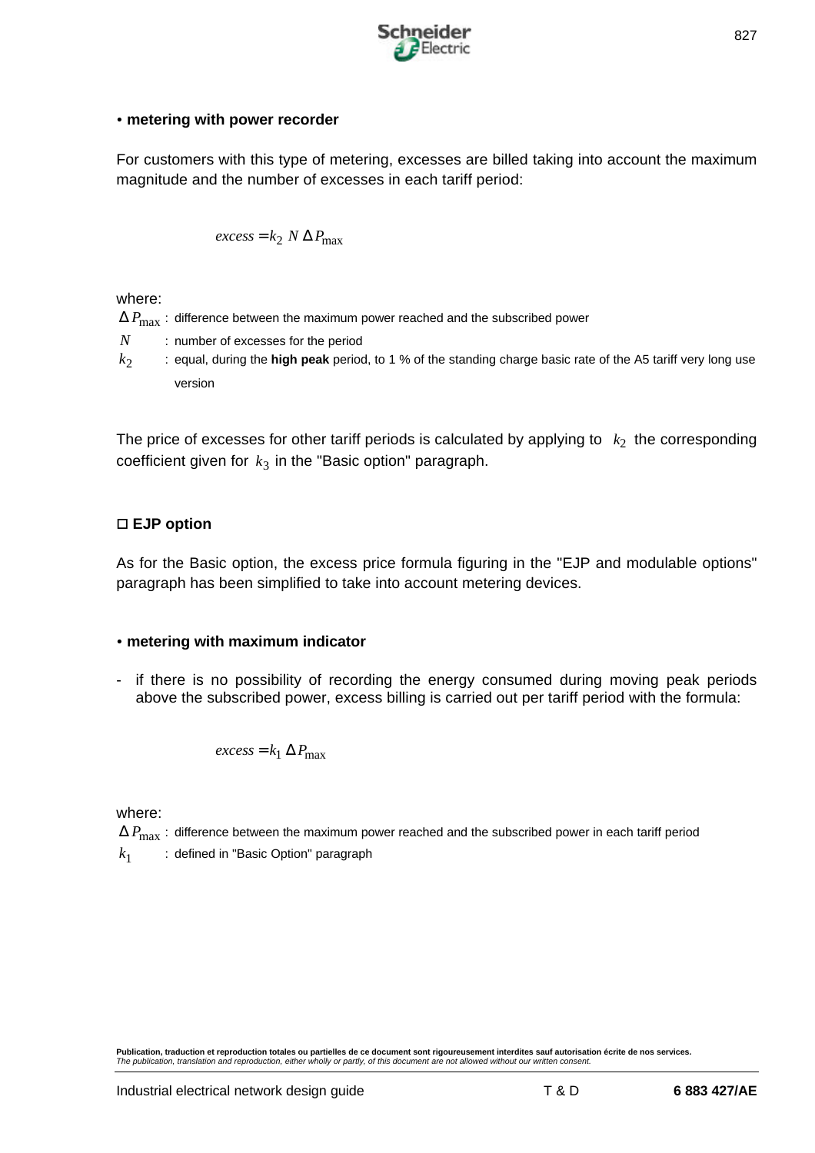

#### **• metering with power recorder**

For customers with this type of metering, excesses are billed taking into account the maximum magnitude and the number of excesses in each tariff period:

$$
excess = k_2 \ N \Delta P_{\text{max}}
$$

where:

- $\Delta P_{\text{max}}$  : difference between the maximum power reached and the subscribed power
- *N* : number of excesses for the period
- $k<sub>2</sub>$ : equal, during the **high peak** period, to 1 % of the standing charge basic rate of the A5 tariff very long use version

The price of excesses for other tariff periods is calculated by applying to  $\;k_2\;$  the corresponding  $\,$  coefficient given for  $\,k_3$  in the "Basic option" paragraph.

## □ **EJP** option

As for the Basic option, the excess price formula figuring in the "EJP and modulable options" paragraph has been simplified to take into account metering devices.

## ü **metering with maximum indicator**

- if there is no possibility of recording the energy consumed during moving peak periods above the subscribed power, excess billing is carried out per tariff period with the formula:

$$
excess = k_1 \Delta P_{\text{max}}
$$

where:

- $\Delta P_{\text{max}}$  : difference between the maximum power reached and the subscribed power in each tariff period
- $k<sub>1</sub>$ : defined in "Basic Option" paragraph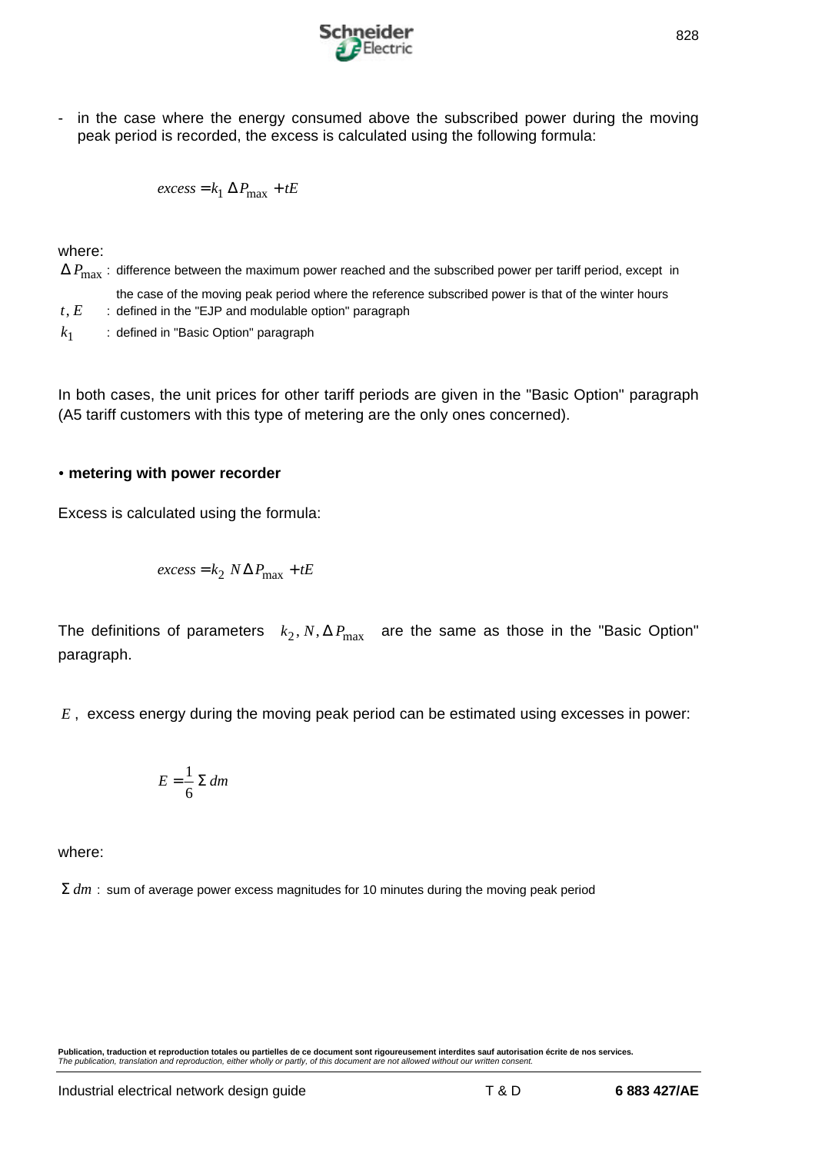

- in the case where the energy consumed above the subscribed power during the moving peak period is recorded, the excess is calculated using the following formula:

$$
excess = k_1 \Delta P_{\text{max}} + tE
$$

where:

 $\Delta P_{\text{max}}$ : difference between the maximum power reached and the subscribed power per tariff period, except in the case of the moving peak period where the reference subscribed power is that of the winter hours  $t, E$  : defined in the "EJP and modulable option" paragraph  $k<sub>1</sub>$ : defined in "Basic Option" paragraph

In both cases, the unit prices for other tariff periods are given in the "Basic Option" paragraph (A5 tariff customers with this type of metering are the only ones concerned).

#### **• metering with power recorder**

Excess is calculated using the formula:

$$
excess = k_2 N \Delta P_{\text{max}} + tE
$$

The definitions of parameters  $k_2$ ,  $N$ ,  $\Delta P_{\rm max}$  are the same as those in the "Basic Option" paragraph.

*E* , excess energy during the moving peak period can be estimated using excesses in power:

$$
E = \frac{1}{6} \Sigma \, dm
$$

where:

Σ *dm* : sum of average power excess magnitudes for 10 minutes during the moving peak period

**Publication, traduction et reproduction totales ou partielles de ce document sont rigoureusement interdites sauf autorisation écrite de nos services.** *The publication, translation and reproduction, either wholly or partly, of this document are not allowed without our written consent.*